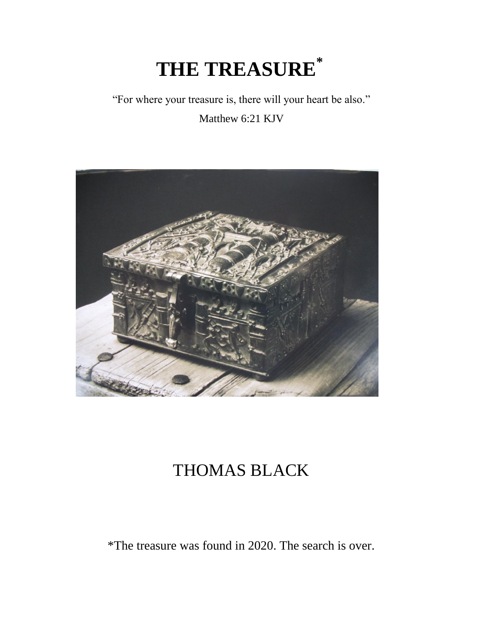## **THE TREASURE\***

## "For where your treasure is, there will your heart be also."

Matthew 6:21 KJV



## THOMAS BLACK

\*The treasure was found in 2020. The search is over.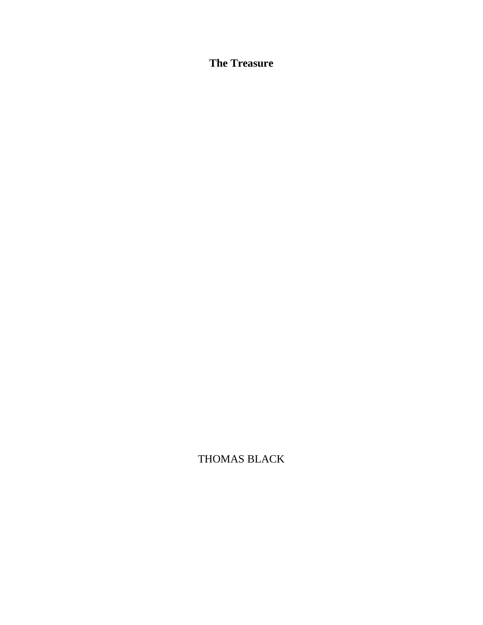**The Treasure**

THOMAS BLACK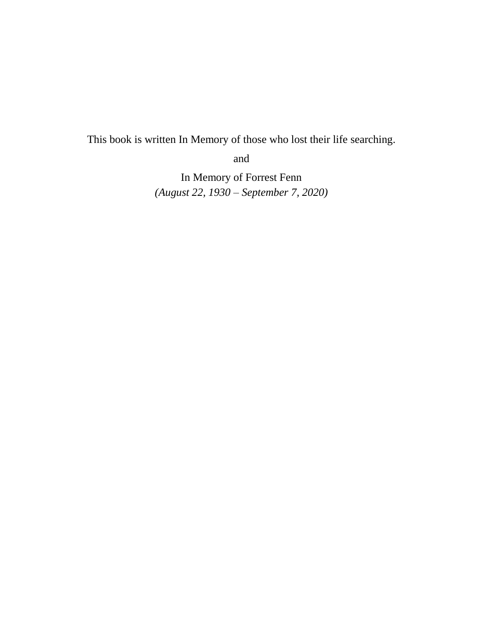This book is written In Memory of those who lost their life searching.

and

In Memory of Forrest Fenn *(August 22, 1930 – September 7, 2020)*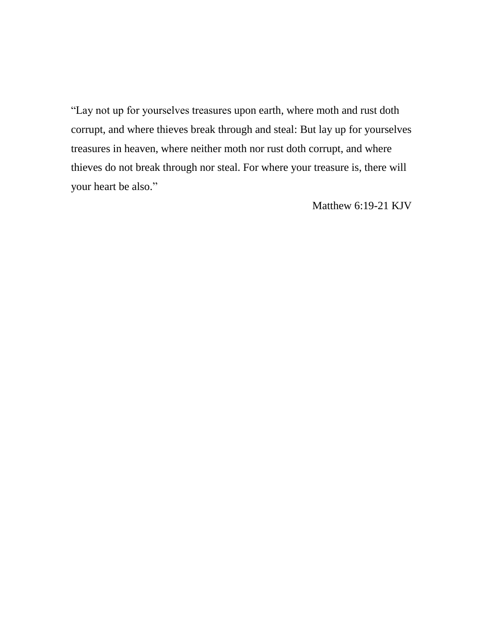"Lay not up for yourselves treasures upon earth, where moth and rust doth corrupt, and where thieves break through and steal: But lay up for yourselves treasures in heaven, where neither moth nor rust doth corrupt, and where thieves do not break through nor steal. For where your treasure is, there will your heart be also."

Matthew 6:19-21 KJV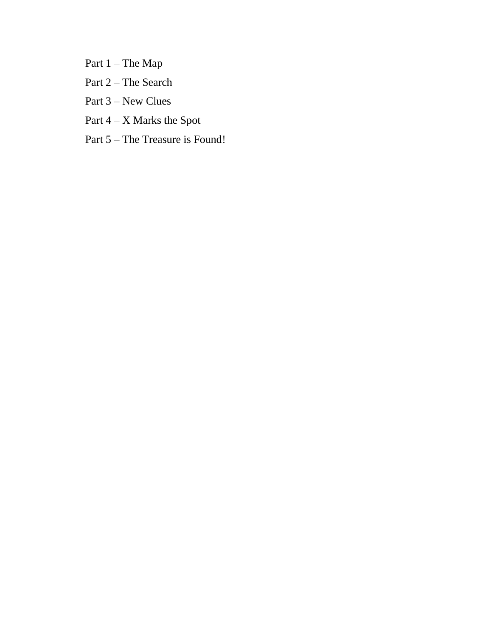Part 1 – The Map

- Part 2 The Search
- Part 3 New Clues
- Part 4 X Marks the Spot
- Part 5 The Treasure is Found!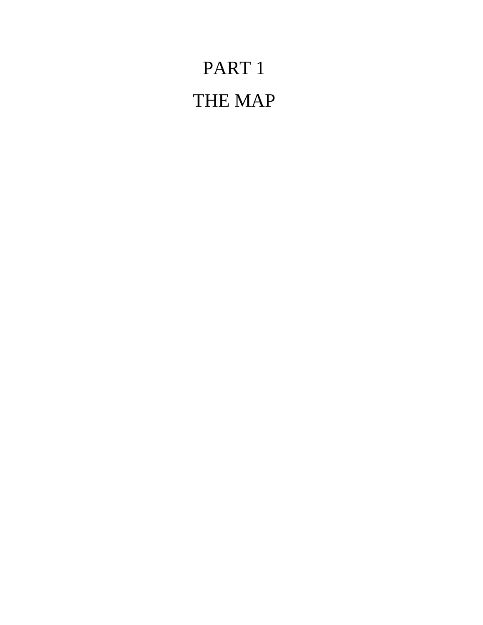# PART 1 THE MAP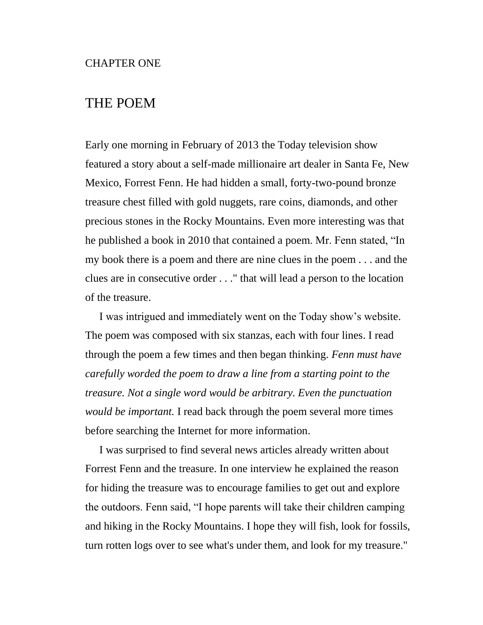### THE POEM

Early one morning in February of 2013 the Today television show featured a story about a self-made millionaire art dealer in Santa Fe, New Mexico, Forrest Fenn. He had hidden a small, forty-two-pound bronze treasure chest filled with gold nuggets, rare coins, diamonds, and other precious stones in the Rocky Mountains. Even more interesting was that he published a book in 2010 that contained a poem. Mr. Fenn stated, "In my book there is a poem and there are nine clues in the poem . . . and the clues are in consecutive order . . ." that will lead a person to the location of the treasure.

I was intrigued and immediately went on the Today show's website. The poem was composed with six stanzas, each with four lines. I read through the poem a few times and then began thinking. *Fenn must have carefully worded the poem to draw a line from a starting point to the treasure. Not a single word would be arbitrary. Even the punctuation would be important.* I read back through the poem several more times before searching the Internet for more information.

I was surprised to find several news articles already written about Forrest Fenn and the treasure. In one interview he explained the reason for hiding the treasure was to encourage families to get out and explore the outdoors. Fenn said, "I hope parents will take their children camping and hiking in the Rocky Mountains. I hope they will fish, look for fossils, turn rotten logs over to see what's under them, and look for my treasure."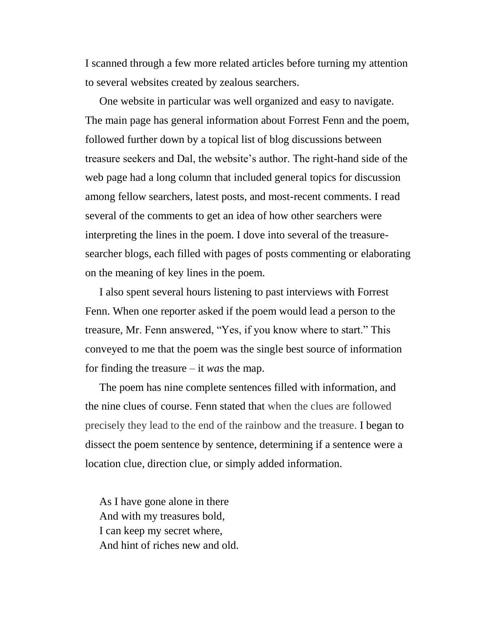I scanned through a few more related articles before turning my attention to several websites created by zealous searchers.

One website in particular was well organized and easy to navigate. The main page has general information about Forrest Fenn and the poem, followed further down by a topical list of blog discussions between treasure seekers and Dal, the website's author. The right-hand side of the web page had a long column that included general topics for discussion among fellow searchers, latest posts, and most-recent comments. I read several of the comments to get an idea of how other searchers were interpreting the lines in the poem. I dove into several of the treasuresearcher blogs, each filled with pages of posts commenting or elaborating on the meaning of key lines in the poem.

I also spent several hours listening to past interviews with Forrest Fenn. When one reporter asked if the poem would lead a person to the treasure, Mr. Fenn answered, "Yes, if you know where to start." This conveyed to me that the poem was the single best source of information for finding the treasure – it *was* the map.

The poem has nine complete sentences filled with information, and the nine clues of course. Fenn stated that when the clues are followed precisely they lead to the end of the rainbow and the treasure. I began to dissect the poem sentence by sentence, determining if a sentence were a location clue, direction clue, or simply added information.

As I have gone alone in there And with my treasures bold, I can keep my secret where, And hint of riches new and old.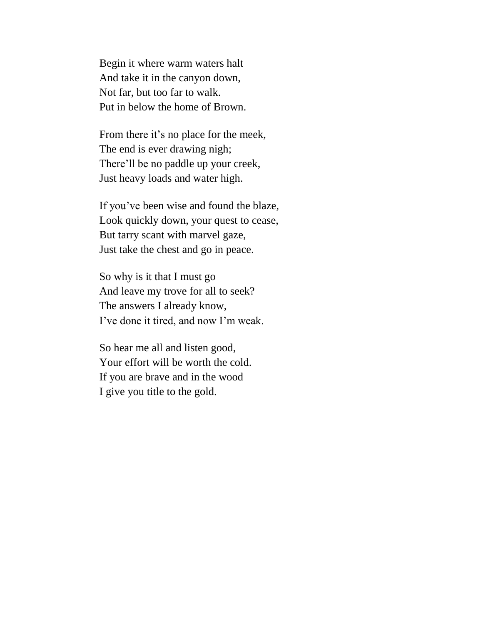Begin it where warm waters halt And take it in the canyon down, Not far, but too far to walk. Put in below the home of Brown.

From there it's no place for the meek, The end is ever drawing nigh; There'll be no paddle up your creek, Just heavy loads and water high.

If you've been wise and found the blaze, Look quickly down, your quest to cease, But tarry scant with marvel gaze, Just take the chest and go in peace.

So why is it that I must go And leave my trove for all to seek? The answers I already know, I've done it tired, and now I'm weak.

So hear me all and listen good, Your effort will be worth the cold. If you are brave and in the wood I give you title to the gold.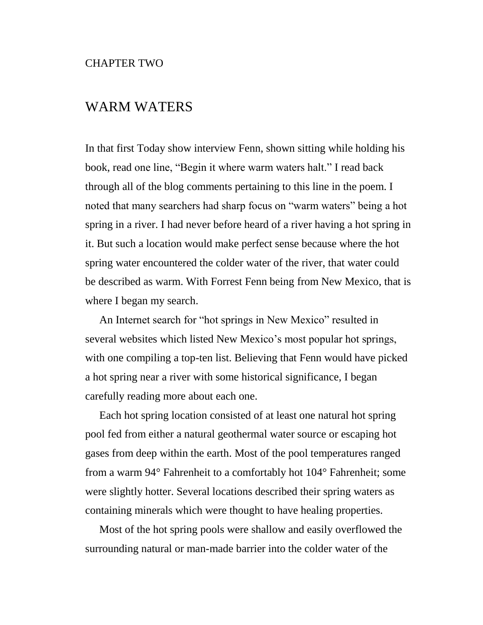### WARM WATERS

In that first Today show interview Fenn, shown sitting while holding his book, read one line, "Begin it where warm waters halt." I read back through all of the blog comments pertaining to this line in the poem. I noted that many searchers had sharp focus on "warm waters" being a hot spring in a river. I had never before heard of a river having a hot spring in it. But such a location would make perfect sense because where the hot spring water encountered the colder water of the river, that water could be described as warm. With Forrest Fenn being from New Mexico, that is where I began my search.

An Internet search for "hot springs in New Mexico" resulted in several websites which listed New Mexico's most popular hot springs, with one compiling a top-ten list. Believing that Fenn would have picked a hot spring near a river with some historical significance, I began carefully reading more about each one.

Each hot spring location consisted of at least one natural hot spring pool fed from either a natural geothermal water source or escaping hot gases from deep within the earth. Most of the pool temperatures ranged from a warm 94° Fahrenheit to a comfortably hot 104° Fahrenheit; some were slightly hotter. Several locations described their spring waters as containing minerals which were thought to have healing properties.

Most of the hot spring pools were shallow and easily overflowed the surrounding natural or man-made barrier into the colder water of the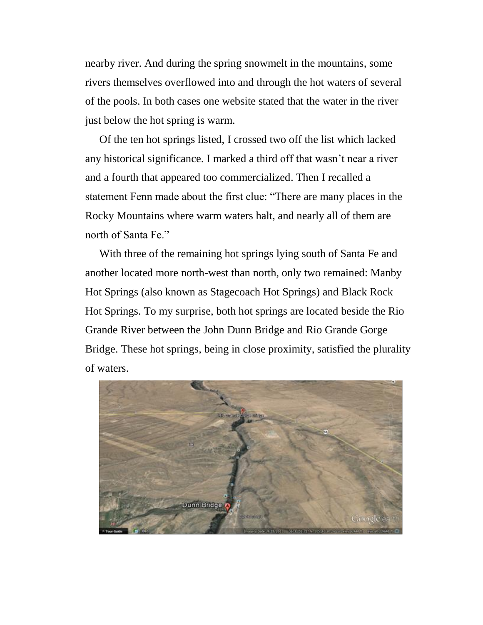nearby river. And during the spring snowmelt in the mountains, some rivers themselves overflowed into and through the hot waters of several of the pools. In both cases one website stated that the water in the river just below the hot spring is warm.

Of the ten hot springs listed, I crossed two off the list which lacked any historical significance. I marked a third off that wasn't near a river and a fourth that appeared too commercialized. Then I recalled a statement Fenn made about the first clue: "There are many places in the Rocky Mountains where warm waters halt, and nearly all of them are north of Santa Fe."

With three of the remaining hot springs lying south of Santa Fe and another located more north-west than north, only two remained: Manby Hot Springs (also known as Stagecoach Hot Springs) and Black Rock Hot Springs. To my surprise, both hot springs are located beside the Rio Grande River between the John Dunn Bridge and Rio Grande Gorge Bridge. These hot springs, being in close proximity, satisfied the plurality of waters.

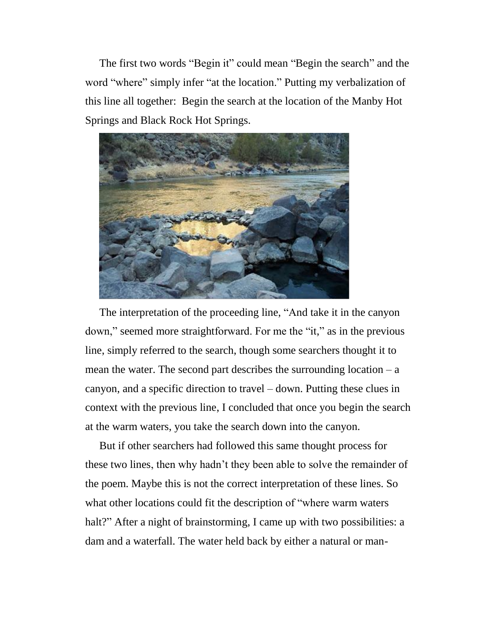The first two words "Begin it" could mean "Begin the search" and the word "where" simply infer "at the location." Putting my verbalization of this line all together: Begin the search at the location of the Manby Hot Springs and Black Rock Hot Springs.



The interpretation of the proceeding line, "And take it in the canyon down," seemed more straightforward. For me the "it," as in the previous line, simply referred to the search, though some searchers thought it to mean the water. The second part describes the surrounding location  $-a$ canyon, and a specific direction to travel – down. Putting these clues in context with the previous line, I concluded that once you begin the search at the warm waters, you take the search down into the canyon.

But if other searchers had followed this same thought process for these two lines, then why hadn't they been able to solve the remainder of the poem. Maybe this is not the correct interpretation of these lines. So what other locations could fit the description of "where warm waters halt?" After a night of brainstorming, I came up with two possibilities: a dam and a waterfall. The water held back by either a natural or man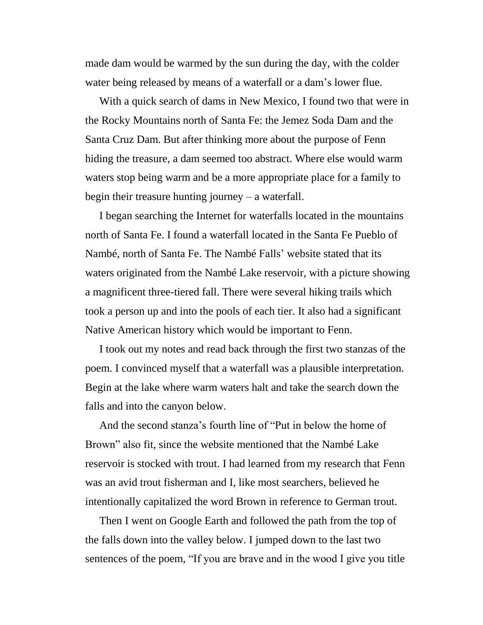made dam would be warmed by the sun during the day, with the colder water being released by means of a waterfall or a dam's lower flue.

With a quick search of dams in New Mexico, I found two that were in the Rocky Mountains north of Santa Fe: the Jemez Soda Dam and the Santa Cruz Dam. But after thinking more about the purpose of Fenn hiding the treasure, a dam seemed too abstract. Where else would warm waters stop being warm and be a more appropriate place for a family to begin their treasure hunting journey – a waterfall.

I began searching the Internet for waterfalls located in the mountains north of Santa Fe. I found a waterfall located in the Santa Fe Pueblo of Nambé, north of Santa Fe. The Nambé Falls' website stated that its waters originated from the Nambé Lake reservoir, with a picture showing a magnificent three-tiered fall. There were several hiking trails which took a person up and into the pools of each tier. It also had a significant Native American history which would be important to Fenn.

I took out my notes and read back through the first two stanzas of the poem. I convinced myself that a waterfall was a plausible interpretation. Begin at the lake where warm waters halt and take the search down the falls and into the canyon below.

And the second stanza's fourth line of "Put in below the home of Brown" also fit, since the website mentioned that the Nambé Lake reservoir is stocked with trout. I had learned from my research that Fenn was an avid trout fisherman and I, like most searchers, believed he intentionally capitalized the word Brown in reference to German trout.

Then I went on Google Earth and followed the path from the top of the falls down into the valley below. I jumped down to the last two sentences of the poem, "If you are brave and in the wood I give you title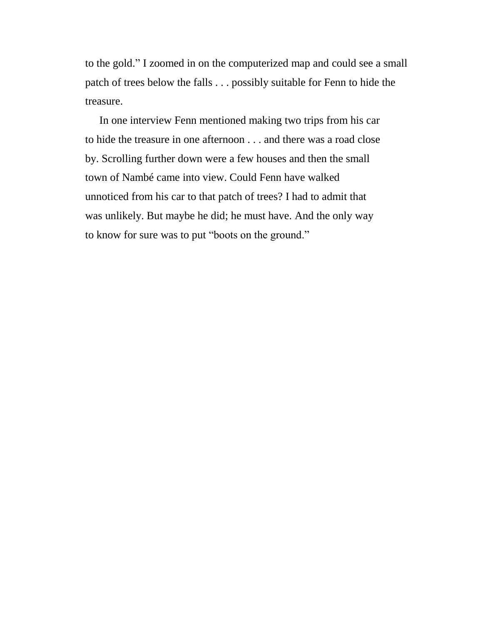to the gold." I zoomed in on the computerized map and could see a small patch of trees below the falls . . . possibly suitable for Fenn to hide the treasure.

In one interview Fenn mentioned making two trips from his car to hide the treasure in one afternoon . . . and there was a road close by. Scrolling further down were a few houses and then the small town of Nambé came into view. Could Fenn have walked unnoticed from his car to that patch of trees? I had to admit that was unlikely. But maybe he did; he must have. And the only way to know for sure was to put "boots on the ground."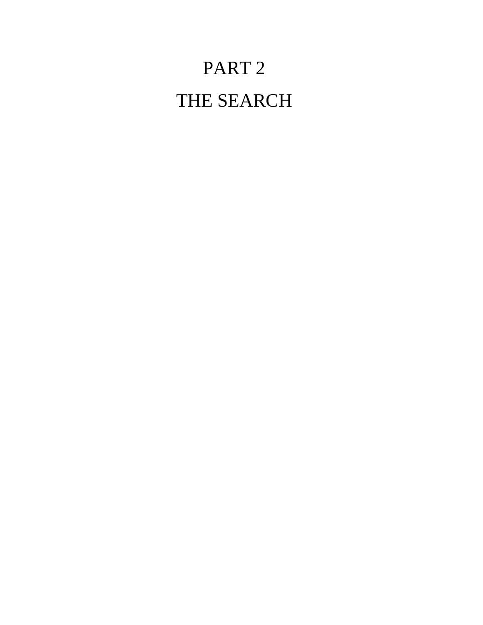# PART 2 THE SEARCH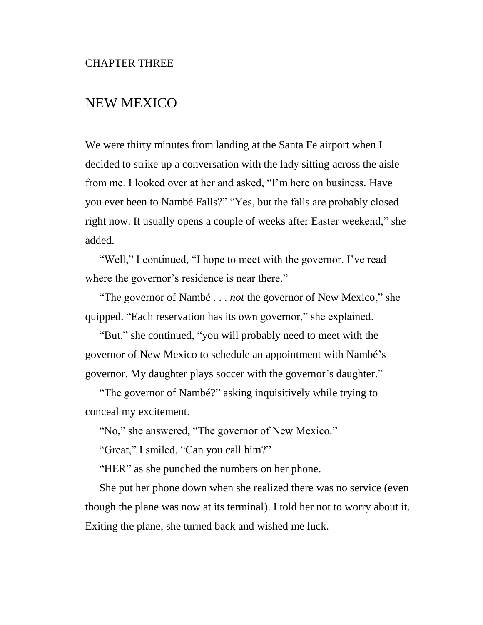### NEW MEXICO

We were thirty minutes from landing at the Santa Fe airport when I decided to strike up a conversation with the lady sitting across the aisle from me. I looked over at her and asked, "I'm here on business. Have you ever been to Nambé Falls?" "Yes, but the falls are probably closed right now. It usually opens a couple of weeks after Easter weekend," she added.

"Well," I continued, "I hope to meet with the governor. I've read where the governor's residence is near there."

"The governor of Nambé . . . *not* the governor of New Mexico," she quipped. "Each reservation has its own governor," she explained.

"But," she continued, "you will probably need to meet with the governor of New Mexico to schedule an appointment with Nambé's governor. My daughter plays soccer with the governor's daughter."

"The governor of Nambé?" asking inquisitively while trying to conceal my excitement.

"No," she answered, "The governor of New Mexico."

"Great," I smiled, "Can you call him?"

"HER" as she punched the numbers on her phone.

She put her phone down when she realized there was no service (even though the plane was now at its terminal). I told her not to worry about it. Exiting the plane, she turned back and wished me luck.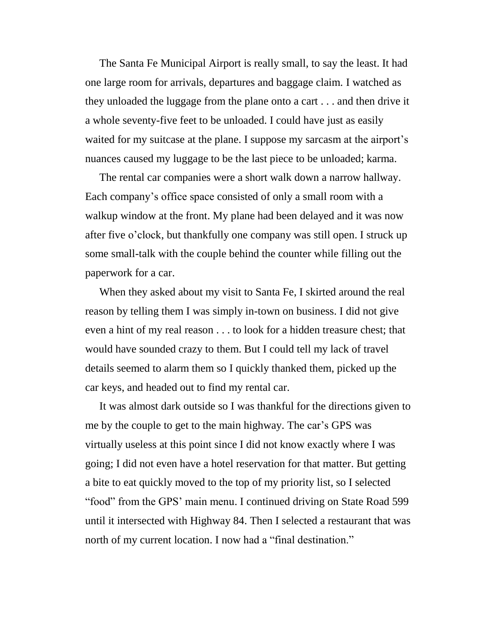The Santa Fe Municipal Airport is really small, to say the least. It had one large room for arrivals, departures and baggage claim. I watched as they unloaded the luggage from the plane onto a cart . . . and then drive it a whole seventy-five feet to be unloaded. I could have just as easily waited for my suitcase at the plane. I suppose my sarcasm at the airport's nuances caused my luggage to be the last piece to be unloaded; karma.

The rental car companies were a short walk down a narrow hallway. Each company's office space consisted of only a small room with a walkup window at the front. My plane had been delayed and it was now after five o'clock, but thankfully one company was still open. I struck up some small-talk with the couple behind the counter while filling out the paperwork for a car.

When they asked about my visit to Santa Fe, I skirted around the real reason by telling them I was simply in-town on business. I did not give even a hint of my real reason . . . to look for a hidden treasure chest; that would have sounded crazy to them. But I could tell my lack of travel details seemed to alarm them so I quickly thanked them, picked up the car keys, and headed out to find my rental car.

It was almost dark outside so I was thankful for the directions given to me by the couple to get to the main highway. The car's GPS was virtually useless at this point since I did not know exactly where I was going; I did not even have a hotel reservation for that matter. But getting a bite to eat quickly moved to the top of my priority list, so I selected "food" from the GPS' main menu. I continued driving on State Road 599 until it intersected with Highway 84. Then I selected a restaurant that was north of my current location. I now had a "final destination."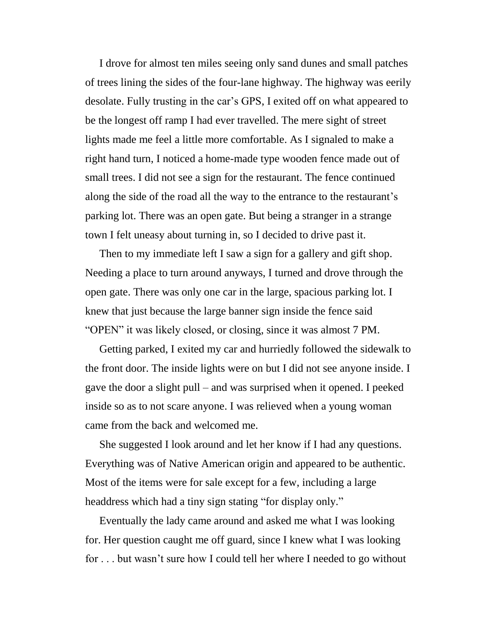I drove for almost ten miles seeing only sand dunes and small patches of trees lining the sides of the four-lane highway. The highway was eerily desolate. Fully trusting in the car's GPS, I exited off on what appeared to be the longest off ramp I had ever travelled. The mere sight of street lights made me feel a little more comfortable. As I signaled to make a right hand turn, I noticed a home-made type wooden fence made out of small trees. I did not see a sign for the restaurant. The fence continued along the side of the road all the way to the entrance to the restaurant's parking lot. There was an open gate. But being a stranger in a strange town I felt uneasy about turning in, so I decided to drive past it.

Then to my immediate left I saw a sign for a gallery and gift shop. Needing a place to turn around anyways, I turned and drove through the open gate. There was only one car in the large, spacious parking lot. I knew that just because the large banner sign inside the fence said "OPEN" it was likely closed, or closing, since it was almost 7 PM.

Getting parked, I exited my car and hurriedly followed the sidewalk to the front door. The inside lights were on but I did not see anyone inside. I gave the door a slight pull – and was surprised when it opened. I peeked inside so as to not scare anyone. I was relieved when a young woman came from the back and welcomed me.

She suggested I look around and let her know if I had any questions. Everything was of Native American origin and appeared to be authentic. Most of the items were for sale except for a few, including a large headdress which had a tiny sign stating "for display only."

Eventually the lady came around and asked me what I was looking for. Her question caught me off guard, since I knew what I was looking for . . . but wasn't sure how I could tell her where I needed to go without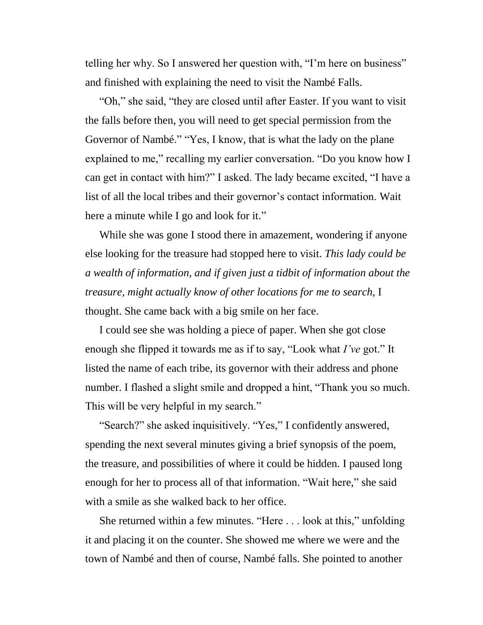telling her why. So I answered her question with, "I'm here on business" and finished with explaining the need to visit the Nambé Falls.

"Oh," she said, "they are closed until after Easter. If you want to visit the falls before then, you will need to get special permission from the Governor of Nambé." "Yes, I know, that is what the lady on the plane explained to me," recalling my earlier conversation. "Do you know how I can get in contact with him?" I asked. The lady became excited, "I have a list of all the local tribes and their governor's contact information. Wait here a minute while I go and look for it."

While she was gone I stood there in amazement, wondering if anyone else looking for the treasure had stopped here to visit. *This lady could be a wealth of information, and if given just a tidbit of information about the treasure, might actually know of other locations for me to search*, I thought. She came back with a big smile on her face.

I could see she was holding a piece of paper. When she got close enough she flipped it towards me as if to say, "Look what *I've* got." It listed the name of each tribe, its governor with their address and phone number. I flashed a slight smile and dropped a hint, "Thank you so much. This will be very helpful in my search."

"Search?" she asked inquisitively. "Yes," I confidently answered, spending the next several minutes giving a brief synopsis of the poem, the treasure, and possibilities of where it could be hidden. I paused long enough for her to process all of that information. "Wait here," she said with a smile as she walked back to her office.

She returned within a few minutes. "Here . . . look at this," unfolding it and placing it on the counter. She showed me where we were and the town of Nambé and then of course, Nambé falls. She pointed to another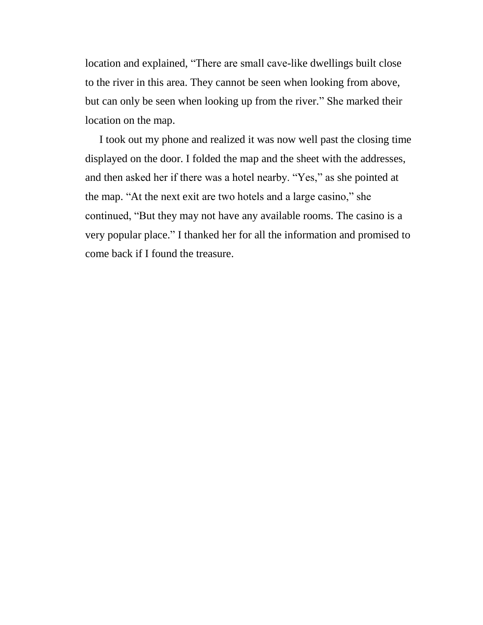location and explained, "There are small cave-like dwellings built close to the river in this area. They cannot be seen when looking from above, but can only be seen when looking up from the river." She marked their location on the map.

I took out my phone and realized it was now well past the closing time displayed on the door. I folded the map and the sheet with the addresses, and then asked her if there was a hotel nearby. "Yes," as she pointed at the map. "At the next exit are two hotels and a large casino," she continued, "But they may not have any available rooms. The casino is a very popular place." I thanked her for all the information and promised to come back if I found the treasure.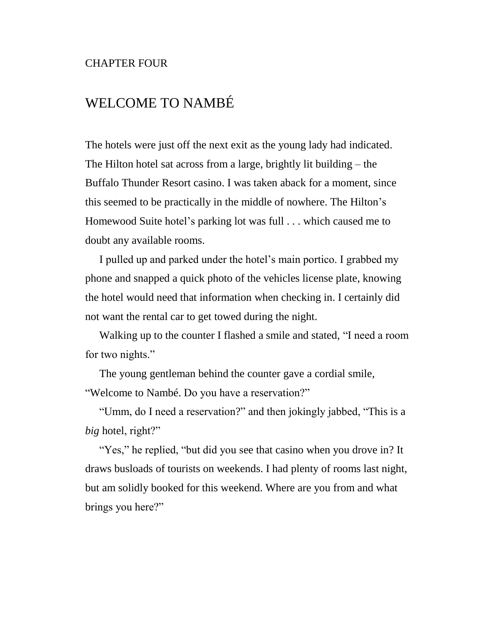#### CHAPTER FOUR

## WELCOME TO NAMBÉ

The hotels were just off the next exit as the young lady had indicated. The Hilton hotel sat across from a large, brightly lit building – the Buffalo Thunder Resort casino. I was taken aback for a moment, since this seemed to be practically in the middle of nowhere. The Hilton's Homewood Suite hotel's parking lot was full . . . which caused me to doubt any available rooms.

I pulled up and parked under the hotel's main portico. I grabbed my phone and snapped a quick photo of the vehicles license plate, knowing the hotel would need that information when checking in. I certainly did not want the rental car to get towed during the night.

Walking up to the counter I flashed a smile and stated, "I need a room for two nights."

The young gentleman behind the counter gave a cordial smile, "Welcome to Nambé. Do you have a reservation?"

"Umm, do I need a reservation?" and then jokingly jabbed, "This is a *big* hotel, right?"

"Yes," he replied, "but did you see that casino when you drove in? It draws busloads of tourists on weekends. I had plenty of rooms last night, but am solidly booked for this weekend. Where are you from and what brings you here?"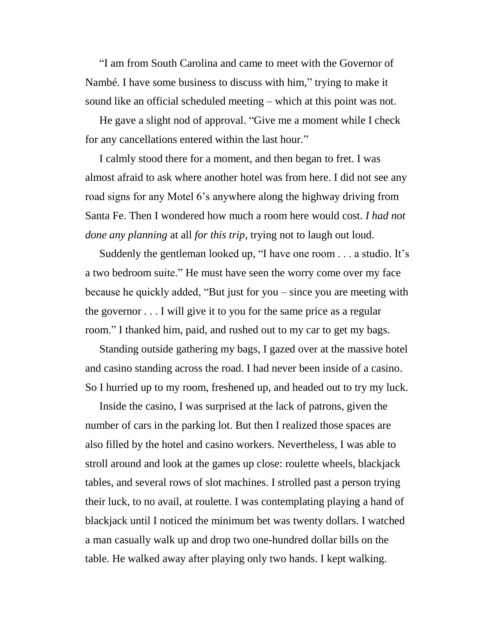"I am from South Carolina and came to meet with the Governor of Nambé. I have some business to discuss with him," trying to make it sound like an official scheduled meeting – which at this point was not.

He gave a slight nod of approval. "Give me a moment while I check for any cancellations entered within the last hour."

I calmly stood there for a moment, and then began to fret. I was almost afraid to ask where another hotel was from here. I did not see any road signs for any Motel 6's anywhere along the highway driving from Santa Fe. Then I wondered how much a room here would cost. *I had not done any planning* at all *for this trip*, trying not to laugh out loud.

Suddenly the gentleman looked up, "I have one room . . . a studio. It's a two bedroom suite." He must have seen the worry come over my face because he quickly added, "But just for you – since you are meeting with the governor . . . I will give it to you for the same price as a regular room." I thanked him, paid, and rushed out to my car to get my bags.

Standing outside gathering my bags, I gazed over at the massive hotel and casino standing across the road. I had never been inside of a casino. So I hurried up to my room, freshened up, and headed out to try my luck.

Inside the casino, I was surprised at the lack of patrons, given the number of cars in the parking lot. But then I realized those spaces are also filled by the hotel and casino workers. Nevertheless, I was able to stroll around and look at the games up close: roulette wheels, blackjack tables, and several rows of slot machines. I strolled past a person trying their luck, to no avail, at roulette. I was contemplating playing a hand of blackjack until I noticed the minimum bet was twenty dollars. I watched a man casually walk up and drop two one-hundred dollar bills on the table. He walked away after playing only two hands. I kept walking.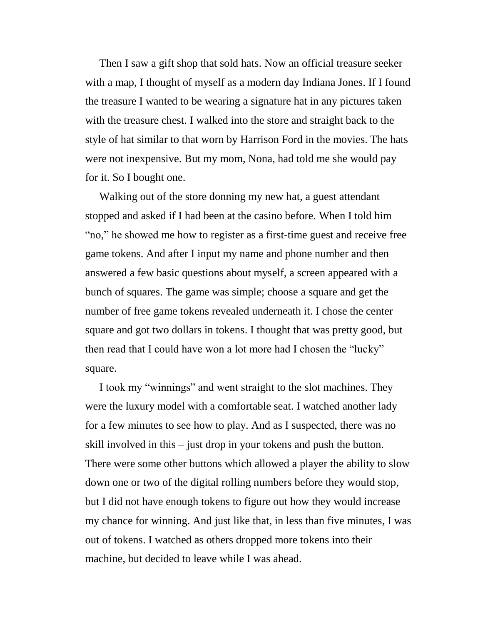Then I saw a gift shop that sold hats. Now an official treasure seeker with a map, I thought of myself as a modern day Indiana Jones. If I found the treasure I wanted to be wearing a signature hat in any pictures taken with the treasure chest. I walked into the store and straight back to the style of hat similar to that worn by Harrison Ford in the movies. The hats were not inexpensive. But my mom, Nona, had told me she would pay for it. So I bought one.

Walking out of the store donning my new hat, a guest attendant stopped and asked if I had been at the casino before. When I told him "no," he showed me how to register as a first-time guest and receive free game tokens. And after I input my name and phone number and then answered a few basic questions about myself, a screen appeared with a bunch of squares. The game was simple; choose a square and get the number of free game tokens revealed underneath it. I chose the center square and got two dollars in tokens. I thought that was pretty good, but then read that I could have won a lot more had I chosen the "lucky" square.

I took my "winnings" and went straight to the slot machines. They were the luxury model with a comfortable seat. I watched another lady for a few minutes to see how to play. And as I suspected, there was no skill involved in this – just drop in your tokens and push the button. There were some other buttons which allowed a player the ability to slow down one or two of the digital rolling numbers before they would stop, but I did not have enough tokens to figure out how they would increase my chance for winning. And just like that, in less than five minutes, I was out of tokens. I watched as others dropped more tokens into their machine, but decided to leave while I was ahead.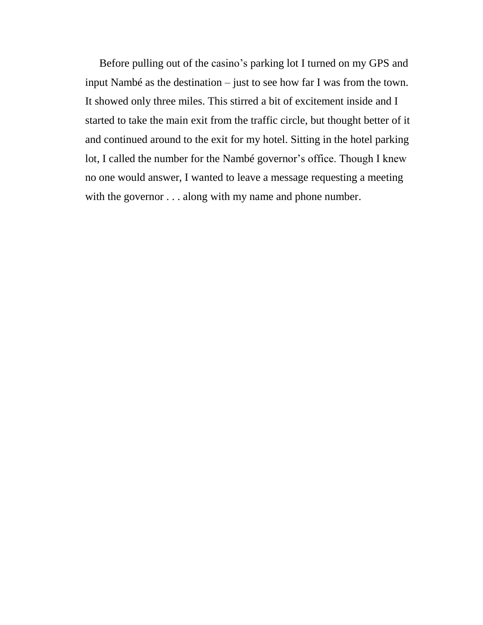Before pulling out of the casino's parking lot I turned on my GPS and input Nambé as the destination – just to see how far I was from the town. It showed only three miles. This stirred a bit of excitement inside and I started to take the main exit from the traffic circle, but thought better of it and continued around to the exit for my hotel. Sitting in the hotel parking lot, I called the number for the Nambé governor's office. Though I knew no one would answer, I wanted to leave a message requesting a meeting with the governor . . . along with my name and phone number.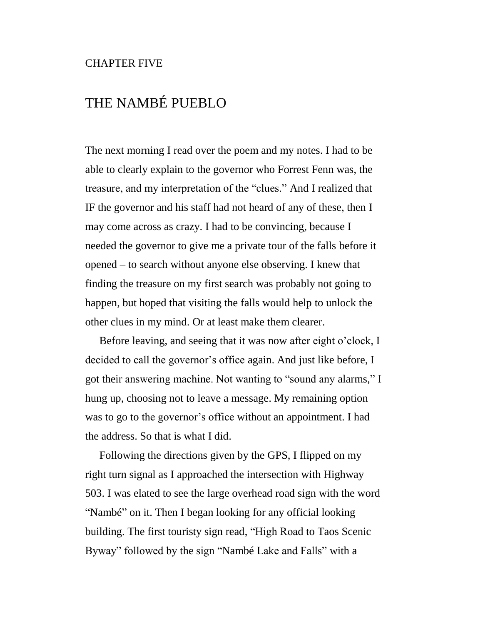#### CHAPTER FIVE

## THE NAMBÉ PUEBLO

The next morning I read over the poem and my notes. I had to be able to clearly explain to the governor who Forrest Fenn was, the treasure, and my interpretation of the "clues." And I realized that IF the governor and his staff had not heard of any of these, then I may come across as crazy. I had to be convincing, because I needed the governor to give me a private tour of the falls before it opened – to search without anyone else observing. I knew that finding the treasure on my first search was probably not going to happen, but hoped that visiting the falls would help to unlock the other clues in my mind. Or at least make them clearer.

Before leaving, and seeing that it was now after eight o'clock, I decided to call the governor's office again. And just like before, I got their answering machine. Not wanting to "sound any alarms," I hung up, choosing not to leave a message. My remaining option was to go to the governor's office without an appointment. I had the address. So that is what I did.

Following the directions given by the GPS, I flipped on my right turn signal as I approached the intersection with Highway 503. I was elated to see the large overhead road sign with the word "Nambé" on it. Then I began looking for any official looking building. The first touristy sign read, "High Road to Taos Scenic Byway" followed by the sign "Nambé Lake and Falls" with a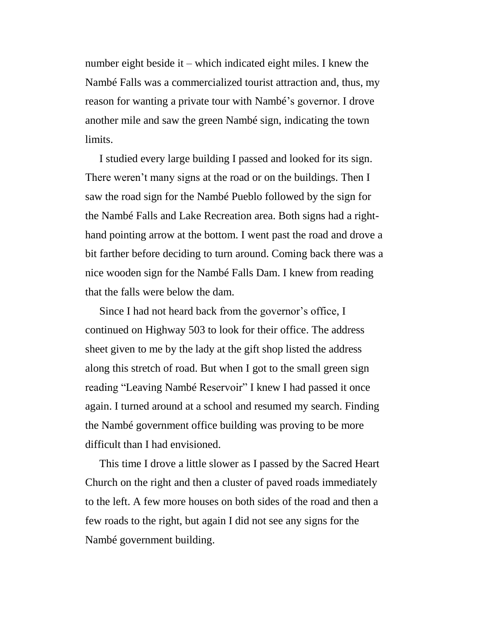number eight beside it – which indicated eight miles. I knew the Nambé Falls was a commercialized tourist attraction and, thus, my reason for wanting a private tour with Nambé's governor. I drove another mile and saw the green Nambé sign, indicating the town limits.

I studied every large building I passed and looked for its sign. There weren't many signs at the road or on the buildings. Then I saw the road sign for the Nambé Pueblo followed by the sign for the Nambé Falls and Lake Recreation area. Both signs had a righthand pointing arrow at the bottom. I went past the road and drove a bit farther before deciding to turn around. Coming back there was a nice wooden sign for the Nambé Falls Dam. I knew from reading that the falls were below the dam.

Since I had not heard back from the governor's office, I continued on Highway 503 to look for their office. The address sheet given to me by the lady at the gift shop listed the address along this stretch of road. But when I got to the small green sign reading "Leaving Nambé Reservoir" I knew I had passed it once again. I turned around at a school and resumed my search. Finding the Nambé government office building was proving to be more difficult than I had envisioned.

This time I drove a little slower as I passed by the Sacred Heart Church on the right and then a cluster of paved roads immediately to the left. A few more houses on both sides of the road and then a few roads to the right, but again I did not see any signs for the Nambé government building.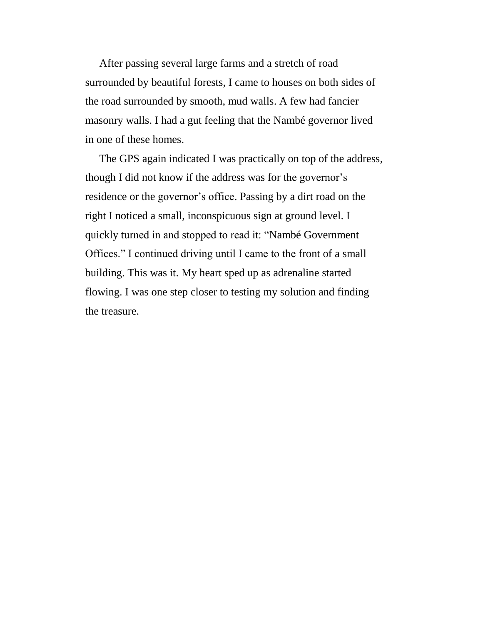After passing several large farms and a stretch of road surrounded by beautiful forests, I came to houses on both sides of the road surrounded by smooth, mud walls. A few had fancier masonry walls. I had a gut feeling that the Nambé governor lived in one of these homes.

The GPS again indicated I was practically on top of the address, though I did not know if the address was for the governor's residence or the governor's office. Passing by a dirt road on the right I noticed a small, inconspicuous sign at ground level. I quickly turned in and stopped to read it: "Nambé Government Offices." I continued driving until I came to the front of a small building. This was it. My heart sped up as adrenaline started flowing. I was one step closer to testing my solution and finding the treasure.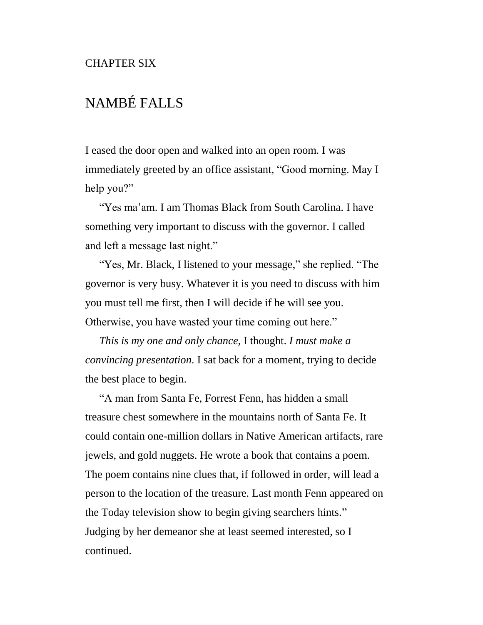## NAMBÉ FALLS

I eased the door open and walked into an open room. I was immediately greeted by an office assistant, "Good morning. May I help you?"

"Yes ma'am. I am Thomas Black from South Carolina. I have something very important to discuss with the governor. I called and left a message last night."

"Yes, Mr. Black, I listened to your message," she replied. "The governor is very busy. Whatever it is you need to discuss with him you must tell me first, then I will decide if he will see you. Otherwise, you have wasted your time coming out here."

*This is my one and only chance,* I thought. *I must make a convincing presentation.* I sat back for a moment, trying to decide the best place to begin.

"A man from Santa Fe, Forrest Fenn, has hidden a small treasure chest somewhere in the mountains north of Santa Fe. It could contain one-million dollars in Native American artifacts, rare jewels, and gold nuggets. He wrote a book that contains a poem. The poem contains nine clues that, if followed in order, will lead a person to the location of the treasure. Last month Fenn appeared on the Today television show to begin giving searchers hints." Judging by her demeanor she at least seemed interested, so I continued.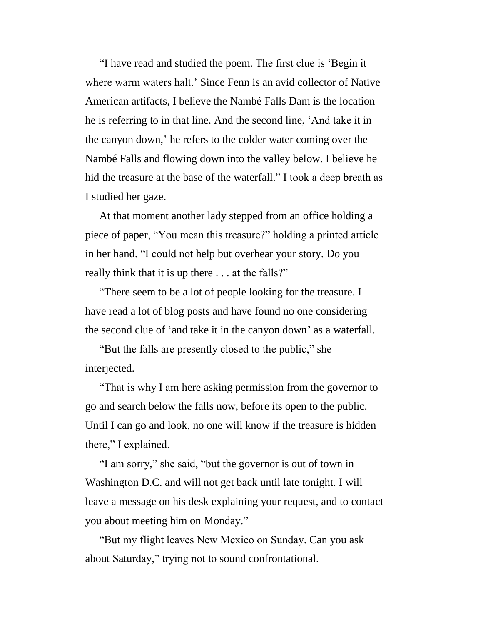"I have read and studied the poem. The first clue is 'Begin it where warm waters halt.' Since Fenn is an avid collector of Native American artifacts, I believe the Nambé Falls Dam is the location he is referring to in that line. And the second line, 'And take it in the canyon down,' he refers to the colder water coming over the Nambé Falls and flowing down into the valley below. I believe he hid the treasure at the base of the waterfall." I took a deep breath as I studied her gaze.

At that moment another lady stepped from an office holding a piece of paper, "You mean this treasure?" holding a printed article in her hand. "I could not help but overhear your story. Do you really think that it is up there . . . at the falls?"

"There seem to be a lot of people looking for the treasure. I have read a lot of blog posts and have found no one considering the second clue of 'and take it in the canyon down' as a waterfall.

"But the falls are presently closed to the public," she interjected.

"That is why I am here asking permission from the governor to go and search below the falls now, before its open to the public. Until I can go and look, no one will know if the treasure is hidden there," I explained.

"I am sorry," she said, "but the governor is out of town in Washington D.C. and will not get back until late tonight. I will leave a message on his desk explaining your request, and to contact you about meeting him on Monday."

"But my flight leaves New Mexico on Sunday. Can you ask about Saturday," trying not to sound confrontational.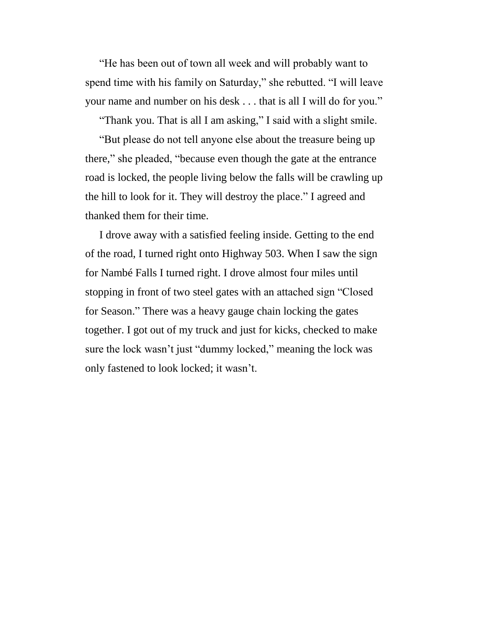"He has been out of town all week and will probably want to spend time with his family on Saturday," she rebutted. "I will leave your name and number on his desk . . . that is all I will do for you."

"Thank you. That is all I am asking," I said with a slight smile.

"But please do not tell anyone else about the treasure being up there," she pleaded, "because even though the gate at the entrance road is locked, the people living below the falls will be crawling up the hill to look for it. They will destroy the place." I agreed and thanked them for their time.

I drove away with a satisfied feeling inside. Getting to the end of the road, I turned right onto Highway 503. When I saw the sign for Nambé Falls I turned right. I drove almost four miles until stopping in front of two steel gates with an attached sign "Closed for Season." There was a heavy gauge chain locking the gates together. I got out of my truck and just for kicks, checked to make sure the lock wasn't just "dummy locked," meaning the lock was only fastened to look locked; it wasn't.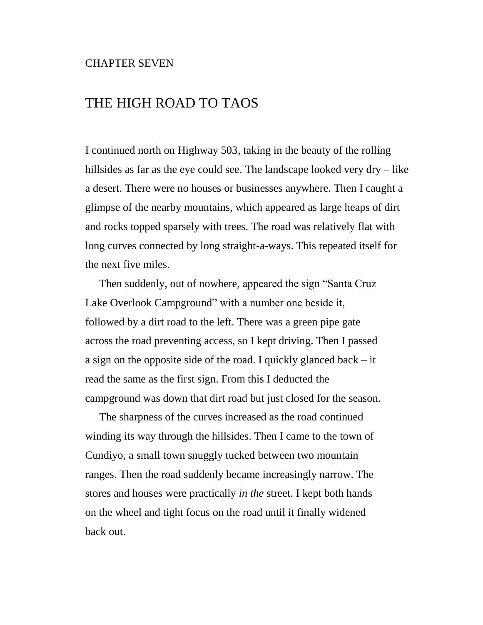## THE HIGH ROAD TO TAOS

I continued north on Highway 503, taking in the beauty of the rolling hillsides as far as the eye could see. The landscape looked very dry – like a desert. There were no houses or businesses anywhere. Then I caught a glimpse of the nearby mountains, which appeared as large heaps of dirt and rocks topped sparsely with trees. The road was relatively flat with long curves connected by long straight-a-ways. This repeated itself for the next five miles.

Then suddenly, out of nowhere, appeared the sign "Santa Cruz Lake Overlook Campground" with a number one beside it, followed by a dirt road to the left. There was a green pipe gate across the road preventing access, so I kept driving. Then I passed a sign on the opposite side of the road. I quickly glanced back – it read the same as the first sign. From this I deducted the campground was down that dirt road but just closed for the season.

The sharpness of the curves increased as the road continued winding its way through the hillsides. Then I came to the town of Cundiyo, a small town snuggly tucked between two mountain ranges. Then the road suddenly became increasingly narrow. The stores and houses were practically *in the* street. I kept both hands on the wheel and tight focus on the road until it finally widened back out.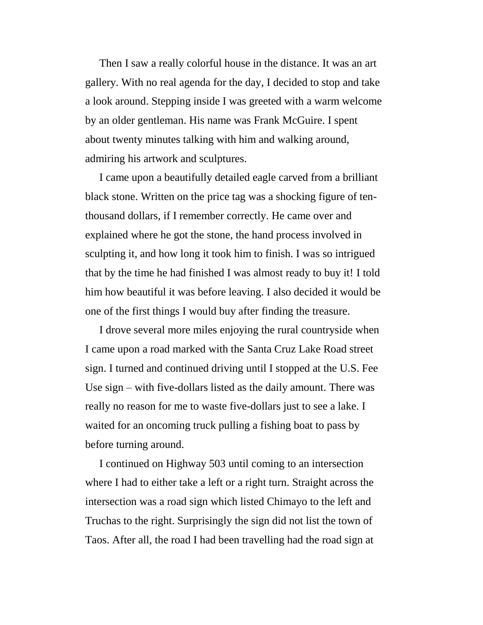Then I saw a really colorful house in the distance. It was an art gallery. With no real agenda for the day, I decided to stop and take a look around. Stepping inside I was greeted with a warm welcome by an older gentleman. His name was Frank McGuire. I spent about twenty minutes talking with him and walking around, admiring his artwork and sculptures.

I came upon a beautifully detailed eagle carved from a brilliant black stone. Written on the price tag was a shocking figure of tenthousand dollars, if I remember correctly. He came over and explained where he got the stone, the hand process involved in sculpting it, and how long it took him to finish. I was so intrigued that by the time he had finished I was almost ready to buy it! I told him how beautiful it was before leaving. I also decided it would be one of the first things I would buy after finding the treasure.

I drove several more miles enjoying the rural countryside when I came upon a road marked with the Santa Cruz Lake Road street sign. I turned and continued driving until I stopped at the U.S. Fee Use sign – with five-dollars listed as the daily amount. There was really no reason for me to waste five-dollars just to see a lake. I waited for an oncoming truck pulling a fishing boat to pass by before turning around.

I continued on Highway 503 until coming to an intersection where I had to either take a left or a right turn. Straight across the intersection was a road sign which listed Chimayo to the left and Truchas to the right. Surprisingly the sign did not list the town of Taos. After all, the road I had been travelling had the road sign at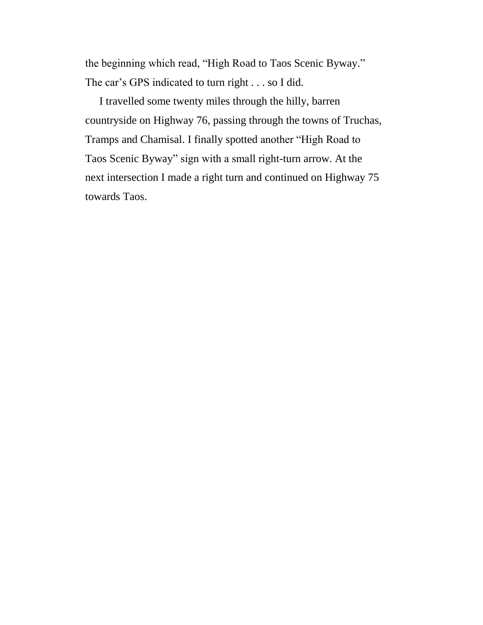the beginning which read, "High Road to Taos Scenic Byway." The car's GPS indicated to turn right . . . so I did.

I travelled some twenty miles through the hilly, barren countryside on Highway 76, passing through the towns of Truchas, Tramps and Chamisal. I finally spotted another "High Road to Taos Scenic Byway" sign with a small right-turn arrow. At the next intersection I made a right turn and continued on Highway 75 towards Taos.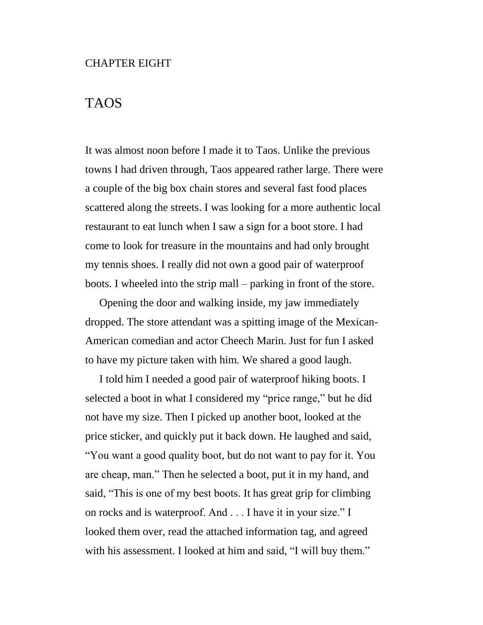#### CHAPTER EIGHT

### TAOS

It was almost noon before I made it to Taos. Unlike the previous towns I had driven through, Taos appeared rather large. There were a couple of the big box chain stores and several fast food places scattered along the streets. I was looking for a more authentic local restaurant to eat lunch when I saw a sign for a boot store. I had come to look for treasure in the mountains and had only brought my tennis shoes. I really did not own a good pair of waterproof boots. I wheeled into the strip mall – parking in front of the store.

Opening the door and walking inside, my jaw immediately dropped. The store attendant was a spitting image of the Mexican-American comedian and actor Cheech Marin. Just for fun I asked to have my picture taken with him. We shared a good laugh.

I told him I needed a good pair of waterproof hiking boots. I selected a boot in what I considered my "price range," but he did not have my size. Then I picked up another boot, looked at the price sticker, and quickly put it back down. He laughed and said, "You want a good quality boot, but do not want to pay for it. You are cheap, man." Then he selected a boot, put it in my hand, and said, "This is one of my best boots. It has great grip for climbing on rocks and is waterproof. And . . . I have it in your size." I looked them over, read the attached information tag, and agreed with his assessment. I looked at him and said, "I will buy them."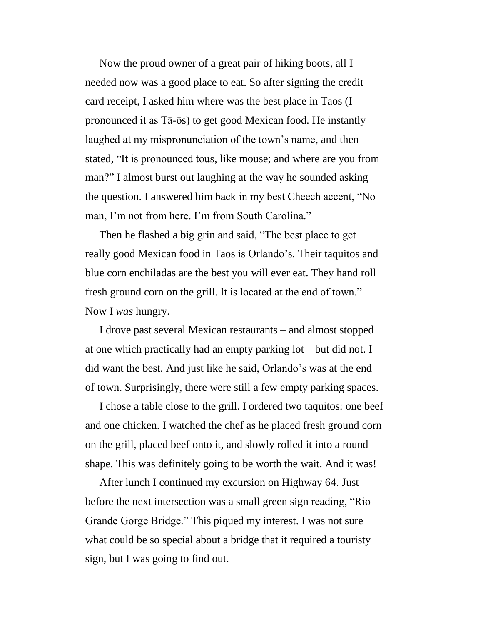Now the proud owner of a great pair of hiking boots, all I needed now was a good place to eat. So after signing the credit card receipt, I asked him where was the best place in Taos (I pronounced it as Tā-ōs) to get good Mexican food. He instantly laughed at my mispronunciation of the town's name, and then stated, "It is pronounced tous, like mouse; and where are you from man?" I almost burst out laughing at the way he sounded asking the question. I answered him back in my best Cheech accent, "No man, I'm not from here. I'm from South Carolina."

Then he flashed a big grin and said, "The best place to get really good Mexican food in Taos is Orlando's. Their taquitos and blue corn enchiladas are the best you will ever eat. They hand roll fresh ground corn on the grill. It is located at the end of town." Now I *was* hungry.

I drove past several Mexican restaurants – and almost stopped at one which practically had an empty parking lot – but did not. I did want the best. And just like he said, Orlando's was at the end of town. Surprisingly, there were still a few empty parking spaces.

I chose a table close to the grill. I ordered two taquitos: one beef and one chicken. I watched the chef as he placed fresh ground corn on the grill, placed beef onto it, and slowly rolled it into a round shape. This was definitely going to be worth the wait. And it was!

After lunch I continued my excursion on Highway 64. Just before the next intersection was a small green sign reading, "Rio Grande Gorge Bridge." This piqued my interest. I was not sure what could be so special about a bridge that it required a touristy sign, but I was going to find out.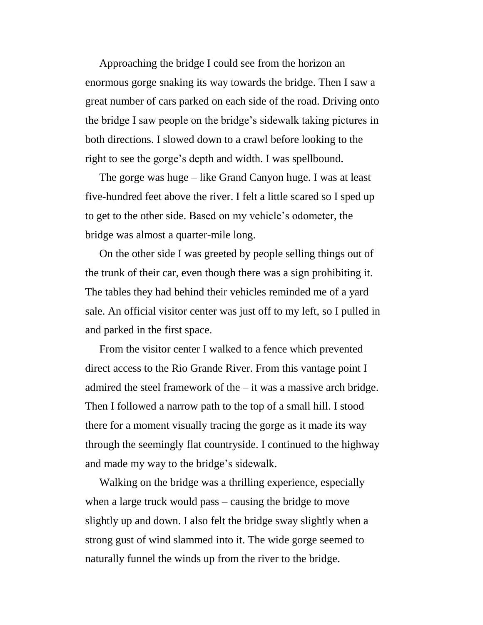Approaching the bridge I could see from the horizon an enormous gorge snaking its way towards the bridge. Then I saw a great number of cars parked on each side of the road. Driving onto the bridge I saw people on the bridge's sidewalk taking pictures in both directions. I slowed down to a crawl before looking to the right to see the gorge's depth and width. I was spellbound.

The gorge was huge – like Grand Canyon huge. I was at least five-hundred feet above the river. I felt a little scared so I sped up to get to the other side. Based on my vehicle's odometer, the bridge was almost a quarter-mile long.

On the other side I was greeted by people selling things out of the trunk of their car, even though there was a sign prohibiting it. The tables they had behind their vehicles reminded me of a yard sale. An official visitor center was just off to my left, so I pulled in and parked in the first space.

From the visitor center I walked to a fence which prevented direct access to the Rio Grande River. From this vantage point I admired the steel framework of the – it was a massive arch bridge. Then I followed a narrow path to the top of a small hill. I stood there for a moment visually tracing the gorge as it made its way through the seemingly flat countryside. I continued to the highway and made my way to the bridge's sidewalk.

Walking on the bridge was a thrilling experience, especially when a large truck would pass – causing the bridge to move slightly up and down. I also felt the bridge sway slightly when a strong gust of wind slammed into it. The wide gorge seemed to naturally funnel the winds up from the river to the bridge.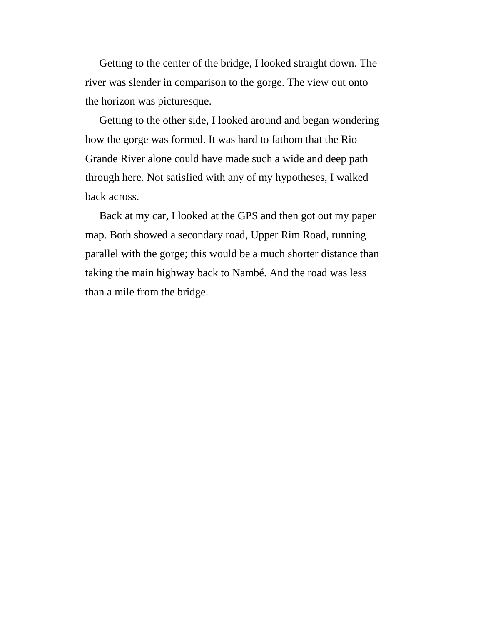Getting to the center of the bridge, I looked straight down. The river was slender in comparison to the gorge. The view out onto the horizon was picturesque.

Getting to the other side, I looked around and began wondering how the gorge was formed. It was hard to fathom that the Rio Grande River alone could have made such a wide and deep path through here. Not satisfied with any of my hypotheses, I walked back across.

Back at my car, I looked at the GPS and then got out my paper map. Both showed a secondary road, Upper Rim Road, running parallel with the gorge; this would be a much shorter distance than taking the main highway back to Nambé. And the road was less than a mile from the bridge.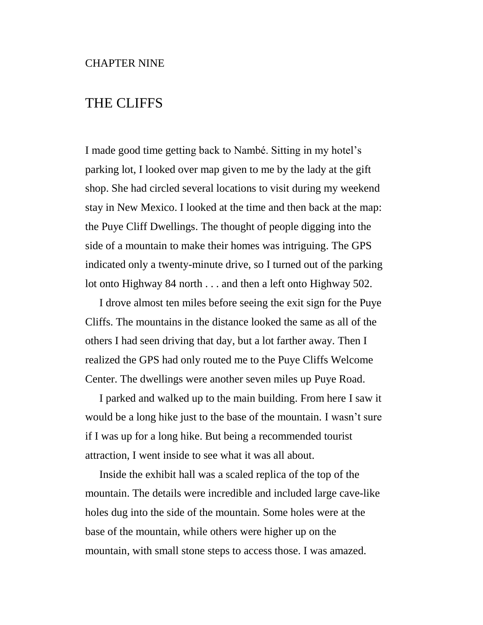# THE CLIFFS

I made good time getting back to Nambé. Sitting in my hotel's parking lot, I looked over map given to me by the lady at the gift shop. She had circled several locations to visit during my weekend stay in New Mexico. I looked at the time and then back at the map: the Puye Cliff Dwellings. The thought of people digging into the side of a mountain to make their homes was intriguing. The GPS indicated only a twenty-minute drive, so I turned out of the parking lot onto Highway 84 north . . . and then a left onto Highway 502.

I drove almost ten miles before seeing the exit sign for the Puye Cliffs. The mountains in the distance looked the same as all of the others I had seen driving that day, but a lot farther away. Then I realized the GPS had only routed me to the Puye Cliffs Welcome Center. The dwellings were another seven miles up Puye Road.

I parked and walked up to the main building. From here I saw it would be a long hike just to the base of the mountain. I wasn't sure if I was up for a long hike. But being a recommended tourist attraction, I went inside to see what it was all about.

Inside the exhibit hall was a scaled replica of the top of the mountain. The details were incredible and included large cave-like holes dug into the side of the mountain. Some holes were at the base of the mountain, while others were higher up on the mountain, with small stone steps to access those. I was amazed.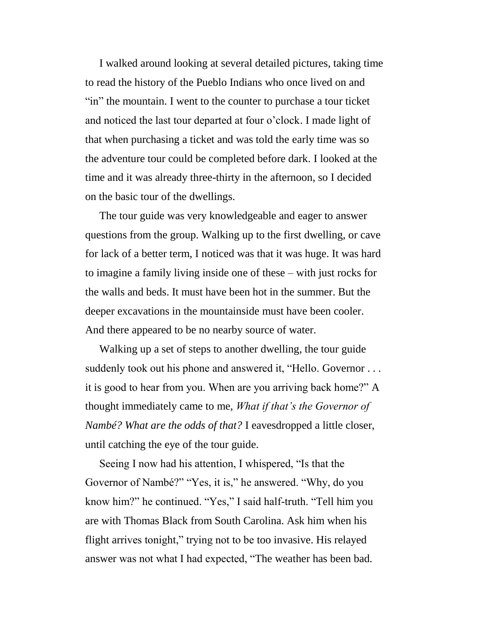I walked around looking at several detailed pictures, taking time to read the history of the Pueblo Indians who once lived on and "in" the mountain. I went to the counter to purchase a tour ticket and noticed the last tour departed at four o'clock. I made light of that when purchasing a ticket and was told the early time was so the adventure tour could be completed before dark. I looked at the time and it was already three-thirty in the afternoon, so I decided on the basic tour of the dwellings.

The tour guide was very knowledgeable and eager to answer questions from the group. Walking up to the first dwelling, or cave for lack of a better term, I noticed was that it was huge. It was hard to imagine a family living inside one of these – with just rocks for the walls and beds. It must have been hot in the summer. But the deeper excavations in the mountainside must have been cooler. And there appeared to be no nearby source of water.

Walking up a set of steps to another dwelling, the tour guide suddenly took out his phone and answered it, "Hello. Governor ... it is good to hear from you. When are you arriving back home?" A thought immediately came to me, *What if that's the Governor of Nambé? What are the odds of that?* I eavesdropped a little closer, until catching the eye of the tour guide.

Seeing I now had his attention, I whispered, "Is that the Governor of Nambé?" "Yes, it is," he answered. "Why, do you know him?" he continued. "Yes," I said half-truth. "Tell him you are with Thomas Black from South Carolina. Ask him when his flight arrives tonight," trying not to be too invasive. His relayed answer was not what I had expected, "The weather has been bad.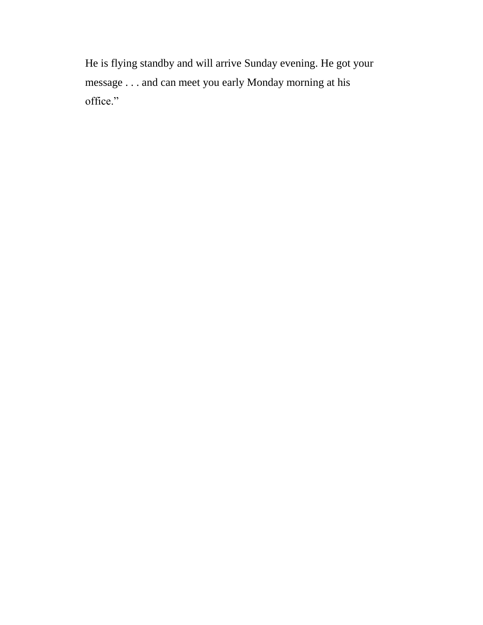He is flying standby and will arrive Sunday evening. He got your message . . . and can meet you early Monday morning at his office."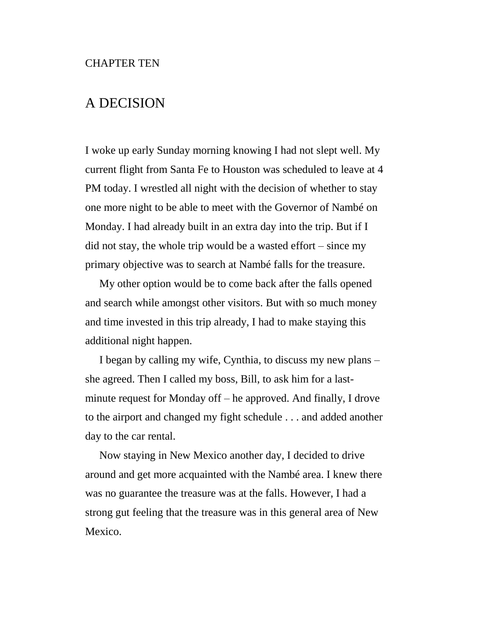# A DECISION

I woke up early Sunday morning knowing I had not slept well. My current flight from Santa Fe to Houston was scheduled to leave at 4 PM today. I wrestled all night with the decision of whether to stay one more night to be able to meet with the Governor of Nambé on Monday. I had already built in an extra day into the trip. But if I did not stay, the whole trip would be a wasted effort – since my primary objective was to search at Nambé falls for the treasure.

My other option would be to come back after the falls opened and search while amongst other visitors. But with so much money and time invested in this trip already, I had to make staying this additional night happen.

I began by calling my wife, Cynthia, to discuss my new plans – she agreed. Then I called my boss, Bill, to ask him for a lastminute request for Monday off – he approved. And finally, I drove to the airport and changed my fight schedule . . . and added another day to the car rental.

Now staying in New Mexico another day, I decided to drive around and get more acquainted with the Nambé area. I knew there was no guarantee the treasure was at the falls. However, I had a strong gut feeling that the treasure was in this general area of New Mexico.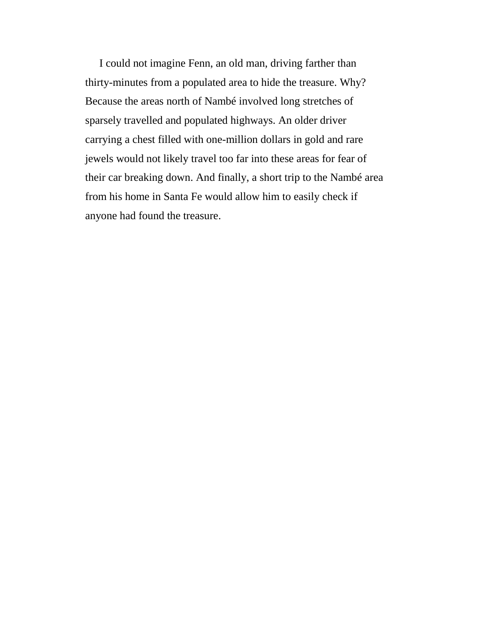I could not imagine Fenn, an old man, driving farther than thirty-minutes from a populated area to hide the treasure. Why? Because the areas north of Nambé involved long stretches of sparsely travelled and populated highways. An older driver carrying a chest filled with one-million dollars in gold and rare jewels would not likely travel too far into these areas for fear of their car breaking down. And finally, a short trip to the Nambé area from his home in Santa Fe would allow him to easily check if anyone had found the treasure.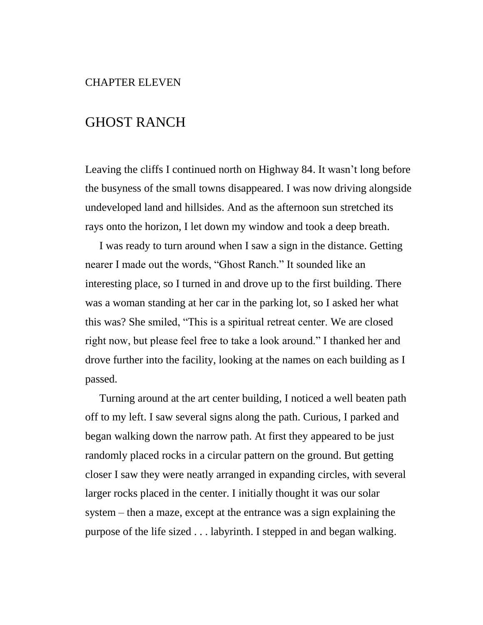## CHAPTER ELEVEN

# GHOST RANCH

Leaving the cliffs I continued north on Highway 84. It wasn't long before the busyness of the small towns disappeared. I was now driving alongside undeveloped land and hillsides. And as the afternoon sun stretched its rays onto the horizon, I let down my window and took a deep breath.

I was ready to turn around when I saw a sign in the distance. Getting nearer I made out the words, "Ghost Ranch." It sounded like an interesting place, so I turned in and drove up to the first building. There was a woman standing at her car in the parking lot, so I asked her what this was? She smiled, "This is a spiritual retreat center. We are closed right now, but please feel free to take a look around." I thanked her and drove further into the facility, looking at the names on each building as I passed.

Turning around at the art center building, I noticed a well beaten path off to my left. I saw several signs along the path. Curious, I parked and began walking down the narrow path. At first they appeared to be just randomly placed rocks in a circular pattern on the ground. But getting closer I saw they were neatly arranged in expanding circles, with several larger rocks placed in the center. I initially thought it was our solar system – then a maze, except at the entrance was a sign explaining the purpose of the life sized . . . labyrinth. I stepped in and began walking.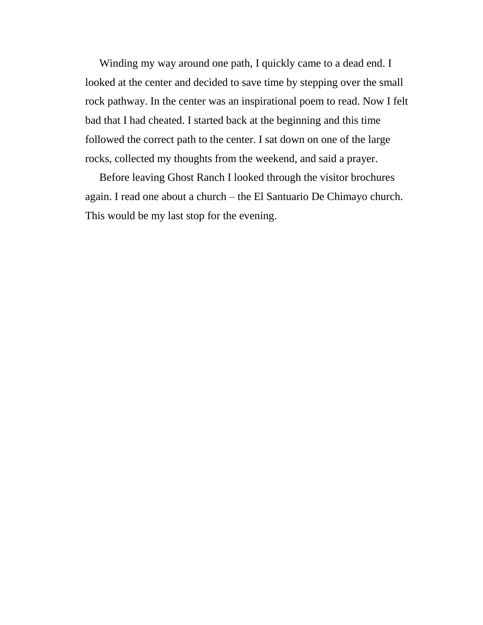Winding my way around one path, I quickly came to a dead end. I looked at the center and decided to save time by stepping over the small rock pathway. In the center was an inspirational poem to read. Now I felt bad that I had cheated. I started back at the beginning and this time followed the correct path to the center. I sat down on one of the large rocks, collected my thoughts from the weekend, and said a prayer.

Before leaving Ghost Ranch I looked through the visitor brochures again. I read one about a church – the El Santuario De Chimayo church. This would be my last stop for the evening.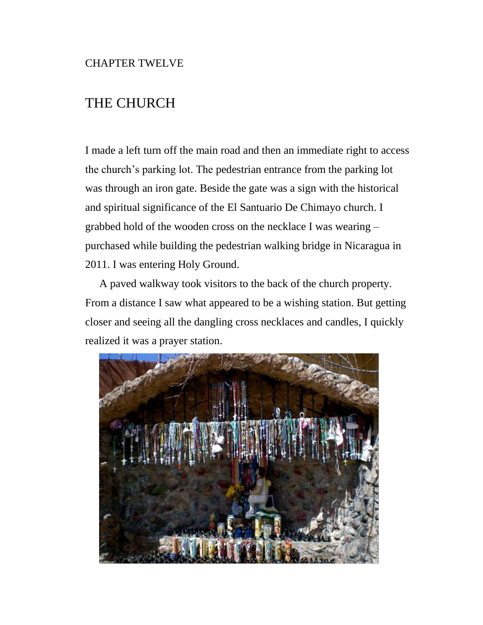# THE CHURCH

I made a left turn off the main road and then an immediate right to access the church's parking lot. The pedestrian entrance from the parking lot was through an iron gate. Beside the gate was a sign with the historical and spiritual significance of the El Santuario De Chimayo church. I grabbed hold of the wooden cross on the necklace I was wearing – purchased while building the pedestrian walking bridge in Nicaragua in 2011. I was entering Holy Ground.

A paved walkway took visitors to the back of the church property. From a distance I saw what appeared to be a wishing station. But getting closer and seeing all the dangling cross necklaces and candles, I quickly realized it was a prayer station.

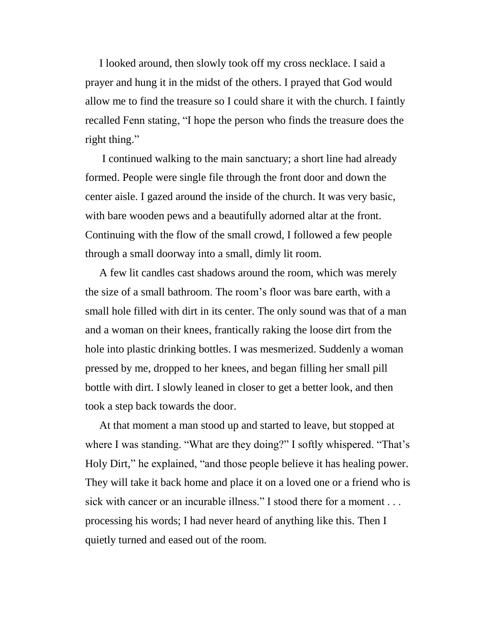I looked around, then slowly took off my cross necklace. I said a prayer and hung it in the midst of the others. I prayed that God would allow me to find the treasure so I could share it with the church. I faintly recalled Fenn stating, "I hope the person who finds the treasure does the right thing."

I continued walking to the main sanctuary; a short line had already formed. People were single file through the front door and down the center aisle. I gazed around the inside of the church. It was very basic, with bare wooden pews and a beautifully adorned altar at the front. Continuing with the flow of the small crowd, I followed a few people through a small doorway into a small, dimly lit room.

A few lit candles cast shadows around the room, which was merely the size of a small bathroom. The room's floor was bare earth, with a small hole filled with dirt in its center. The only sound was that of a man and a woman on their knees, frantically raking the loose dirt from the hole into plastic drinking bottles. I was mesmerized. Suddenly a woman pressed by me, dropped to her knees, and began filling her small pill bottle with dirt. I slowly leaned in closer to get a better look, and then took a step back towards the door.

At that moment a man stood up and started to leave, but stopped at where I was standing. "What are they doing?" I softly whispered. "That's Holy Dirt," he explained, "and those people believe it has healing power. They will take it back home and place it on a loved one or a friend who is sick with cancer or an incurable illness." I stood there for a moment . . . processing his words; I had never heard of anything like this. Then I quietly turned and eased out of the room.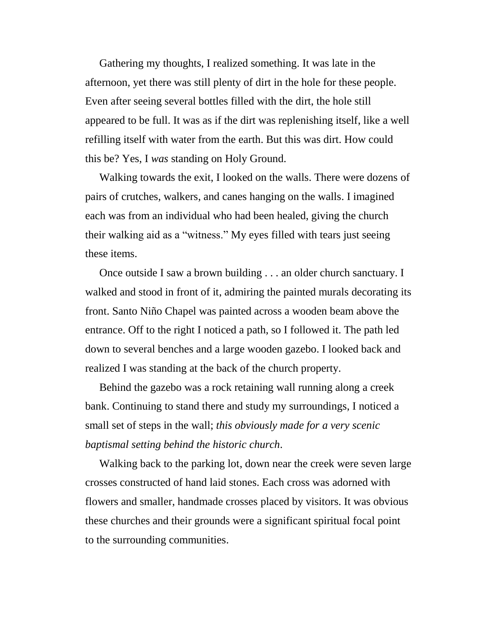Gathering my thoughts, I realized something. It was late in the afternoon, yet there was still plenty of dirt in the hole for these people. Even after seeing several bottles filled with the dirt, the hole still appeared to be full. It was as if the dirt was replenishing itself, like a well refilling itself with water from the earth. But this was dirt. How could this be? Yes, I *was* standing on Holy Ground.

Walking towards the exit, I looked on the walls. There were dozens of pairs of crutches, walkers, and canes hanging on the walls. I imagined each was from an individual who had been healed, giving the church their walking aid as a "witness." My eyes filled with tears just seeing these items.

Once outside I saw a brown building . . . an older church sanctuary. I walked and stood in front of it, admiring the painted murals decorating its front. Santo Niño Chapel was painted across a wooden beam above the entrance. Off to the right I noticed a path, so I followed it. The path led down to several benches and a large wooden gazebo. I looked back and realized I was standing at the back of the church property.

Behind the gazebo was a rock retaining wall running along a creek bank. Continuing to stand there and study my surroundings, I noticed a small set of steps in the wall; *this obviously made for a very scenic baptismal setting behind the historic church*.

Walking back to the parking lot, down near the creek were seven large crosses constructed of hand laid stones. Each cross was adorned with flowers and smaller, handmade crosses placed by visitors. It was obvious these churches and their grounds were a significant spiritual focal point to the surrounding communities.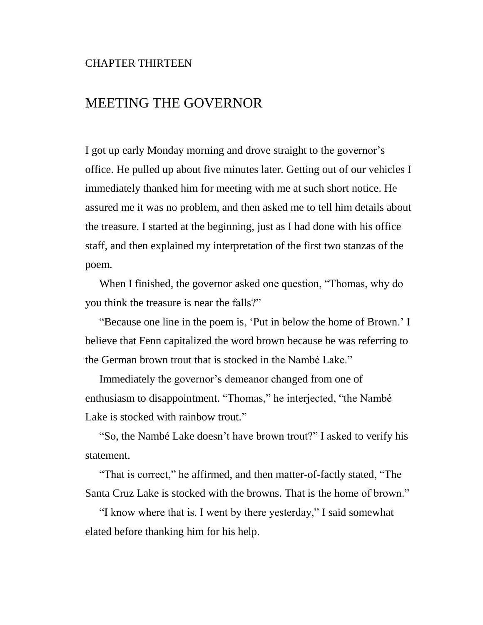### CHAPTER THIRTEEN

## MEETING THE GOVERNOR

I got up early Monday morning and drove straight to the governor's office. He pulled up about five minutes later. Getting out of our vehicles I immediately thanked him for meeting with me at such short notice. He assured me it was no problem, and then asked me to tell him details about the treasure. I started at the beginning, just as I had done with his office staff, and then explained my interpretation of the first two stanzas of the poem.

When I finished, the governor asked one question, "Thomas, why do you think the treasure is near the falls?"

"Because one line in the poem is, 'Put in below the home of Brown.' I believe that Fenn capitalized the word brown because he was referring to the German brown trout that is stocked in the Nambé Lake."

Immediately the governor's demeanor changed from one of enthusiasm to disappointment. "Thomas," he interjected, "the Nambé Lake is stocked with rainbow trout."

"So, the Nambé Lake doesn't have brown trout?" I asked to verify his statement.

"That is correct," he affirmed, and then matter-of-factly stated, "The Santa Cruz Lake is stocked with the browns. That is the home of brown."

"I know where that is. I went by there yesterday," I said somewhat elated before thanking him for his help.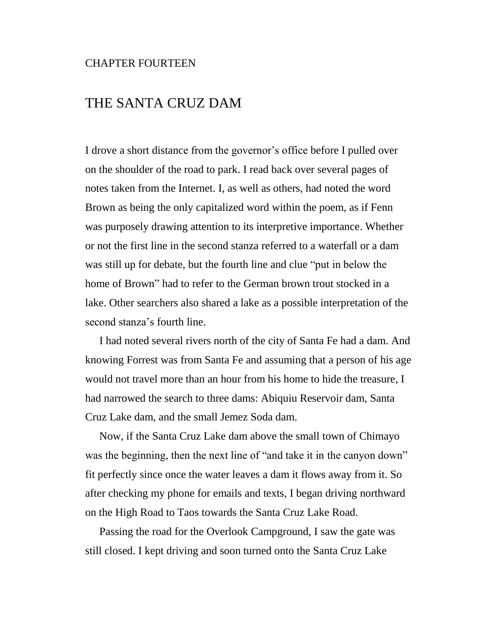#### CHAPTER FOURTEEN

# THE SANTA CRUZ DAM

I drove a short distance from the governor's office before I pulled over on the shoulder of the road to park. I read back over several pages of notes taken from the Internet. I, as well as others, had noted the word Brown as being the only capitalized word within the poem, as if Fenn was purposely drawing attention to its interpretive importance. Whether or not the first line in the second stanza referred to a waterfall or a dam was still up for debate, but the fourth line and clue "put in below the home of Brown" had to refer to the German brown trout stocked in a lake. Other searchers also shared a lake as a possible interpretation of the second stanza's fourth line.

I had noted several rivers north of the city of Santa Fe had a dam. And knowing Forrest was from Santa Fe and assuming that a person of his age would not travel more than an hour from his home to hide the treasure, I had narrowed the search to three dams: Abiquiu Reservoir dam, Santa Cruz Lake dam, and the small Jemez Soda dam.

Now, if the Santa Cruz Lake dam above the small town of Chimayo was the beginning, then the next line of "and take it in the canyon down" fit perfectly since once the water leaves a dam it flows away from it. So after checking my phone for emails and texts, I began driving northward on the High Road to Taos towards the Santa Cruz Lake Road.

Passing the road for the Overlook Campground, I saw the gate was still closed. I kept driving and soon turned onto the Santa Cruz Lake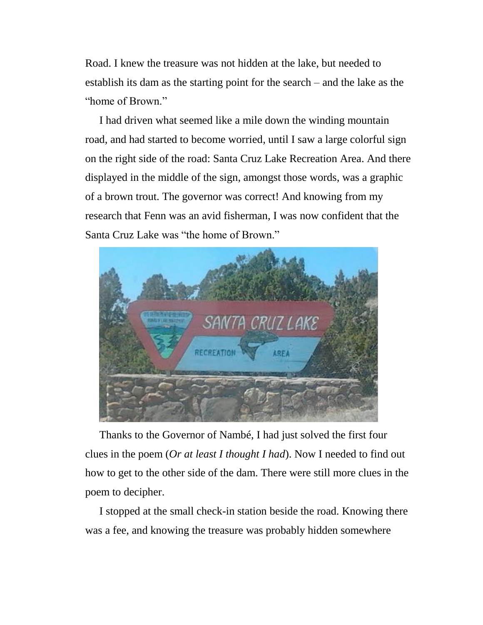Road. I knew the treasure was not hidden at the lake, but needed to establish its dam as the starting point for the search – and the lake as the "home of Brown"

I had driven what seemed like a mile down the winding mountain road, and had started to become worried, until I saw a large colorful sign on the right side of the road: Santa Cruz Lake Recreation Area. And there displayed in the middle of the sign, amongst those words, was a graphic of a brown trout. The governor was correct! And knowing from my research that Fenn was an avid fisherman, I was now confident that the Santa Cruz Lake was "the home of Brown."



Thanks to the Governor of Nambé, I had just solved the first four clues in the poem (*Or at least I thought I had*). Now I needed to find out how to get to the other side of the dam. There were still more clues in the poem to decipher.

I stopped at the small check-in station beside the road. Knowing there was a fee, and knowing the treasure was probably hidden somewhere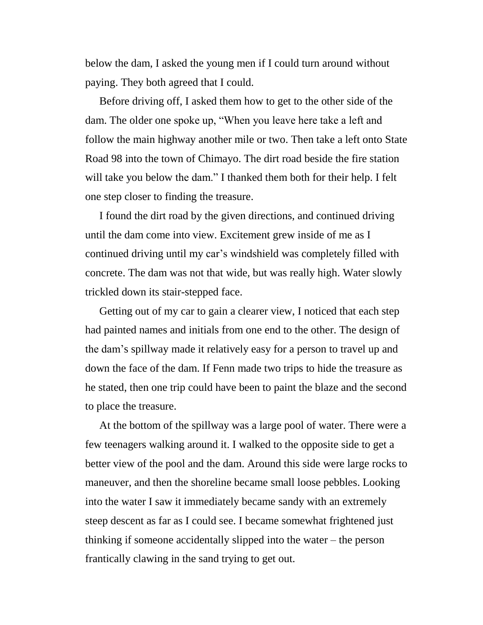below the dam, I asked the young men if I could turn around without paying. They both agreed that I could.

Before driving off, I asked them how to get to the other side of the dam. The older one spoke up, "When you leave here take a left and follow the main highway another mile or two. Then take a left onto State Road 98 into the town of Chimayo. The dirt road beside the fire station will take you below the dam." I thanked them both for their help. I felt one step closer to finding the treasure.

I found the dirt road by the given directions, and continued driving until the dam come into view. Excitement grew inside of me as I continued driving until my car's windshield was completely filled with concrete. The dam was not that wide, but was really high. Water slowly trickled down its stair-stepped face.

Getting out of my car to gain a clearer view, I noticed that each step had painted names and initials from one end to the other. The design of the dam's spillway made it relatively easy for a person to travel up and down the face of the dam. If Fenn made two trips to hide the treasure as he stated, then one trip could have been to paint the blaze and the second to place the treasure.

At the bottom of the spillway was a large pool of water. There were a few teenagers walking around it. I walked to the opposite side to get a better view of the pool and the dam. Around this side were large rocks to maneuver, and then the shoreline became small loose pebbles. Looking into the water I saw it immediately became sandy with an extremely steep descent as far as I could see. I became somewhat frightened just thinking if someone accidentally slipped into the water – the person frantically clawing in the sand trying to get out.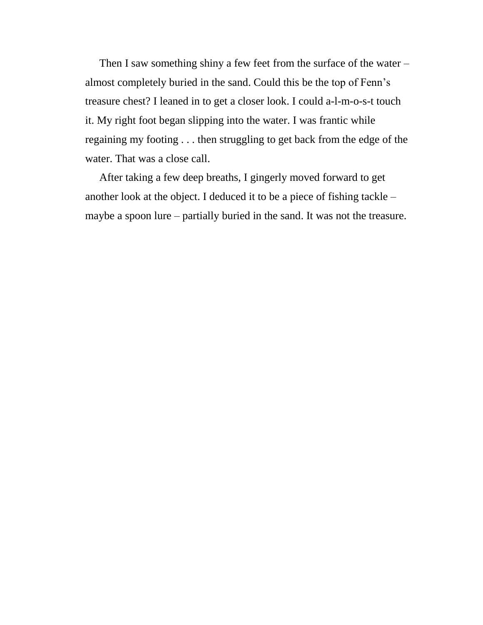Then I saw something shiny a few feet from the surface of the water – almost completely buried in the sand. Could this be the top of Fenn's treasure chest? I leaned in to get a closer look. I could a-l-m-o-s-t touch it. My right foot began slipping into the water. I was frantic while regaining my footing . . . then struggling to get back from the edge of the water. That was a close call.

After taking a few deep breaths, I gingerly moved forward to get another look at the object. I deduced it to be a piece of fishing tackle – maybe a spoon lure – partially buried in the sand. It was not the treasure.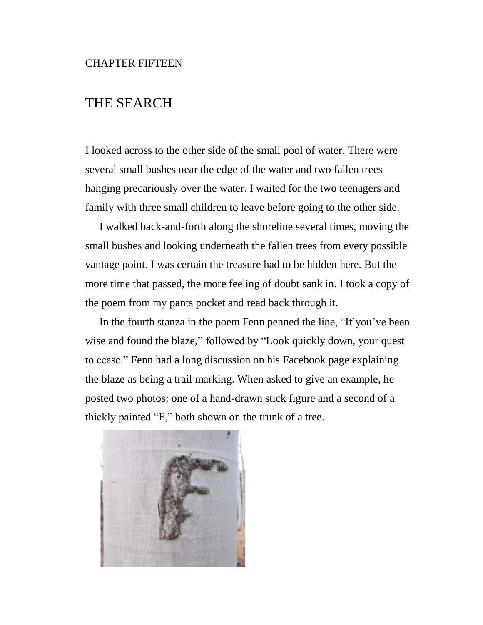# THE SEARCH

I looked across to the other side of the small pool of water. There were several small bushes near the edge of the water and two fallen trees hanging precariously over the water. I waited for the two teenagers and family with three small children to leave before going to the other side.

I walked back-and-forth along the shoreline several times, moving the small bushes and looking underneath the fallen trees from every possible vantage point. I was certain the treasure had to be hidden here. But the more time that passed, the more feeling of doubt sank in. I took a copy of the poem from my pants pocket and read back through it.

In the fourth stanza in the poem Fenn penned the line, "If you've been wise and found the blaze," followed by "Look quickly down, your quest to cease." Fenn had a long discussion on his Facebook page explaining the blaze as being a trail marking. When asked to give an example, he posted two photos: one of a hand-drawn stick figure and a second of a thickly painted "F," both shown on the trunk of a tree.

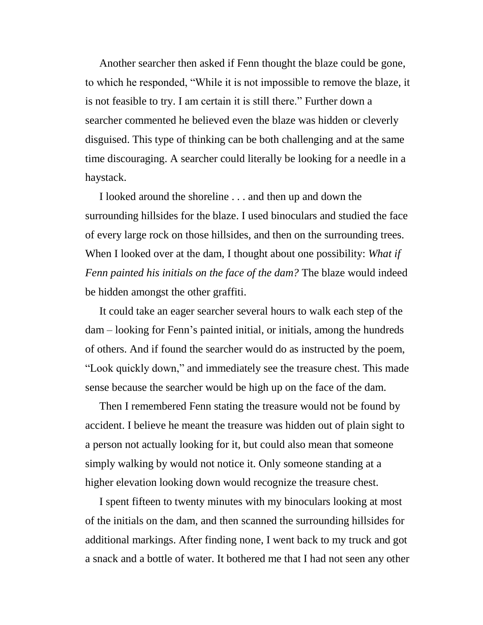Another searcher then asked if Fenn thought the blaze could be gone, to which he responded, "While it is not impossible to remove the blaze, it is not feasible to try. I am certain it is still there." Further down a searcher commented he believed even the blaze was hidden or cleverly disguised. This type of thinking can be both challenging and at the same time discouraging. A searcher could literally be looking for a needle in a haystack.

I looked around the shoreline . . . and then up and down the surrounding hillsides for the blaze. I used binoculars and studied the face of every large rock on those hillsides, and then on the surrounding trees. When I looked over at the dam, I thought about one possibility: *What if Fenn painted his initials on the face of the dam?* The blaze would indeed be hidden amongst the other graffiti.

It could take an eager searcher several hours to walk each step of the dam – looking for Fenn's painted initial, or initials, among the hundreds of others. And if found the searcher would do as instructed by the poem, "Look quickly down," and immediately see the treasure chest. This made sense because the searcher would be high up on the face of the dam.

Then I remembered Fenn stating the treasure would not be found by accident. I believe he meant the treasure was hidden out of plain sight to a person not actually looking for it, but could also mean that someone simply walking by would not notice it. Only someone standing at a higher elevation looking down would recognize the treasure chest.

I spent fifteen to twenty minutes with my binoculars looking at most of the initials on the dam, and then scanned the surrounding hillsides for additional markings. After finding none, I went back to my truck and got a snack and a bottle of water. It bothered me that I had not seen any other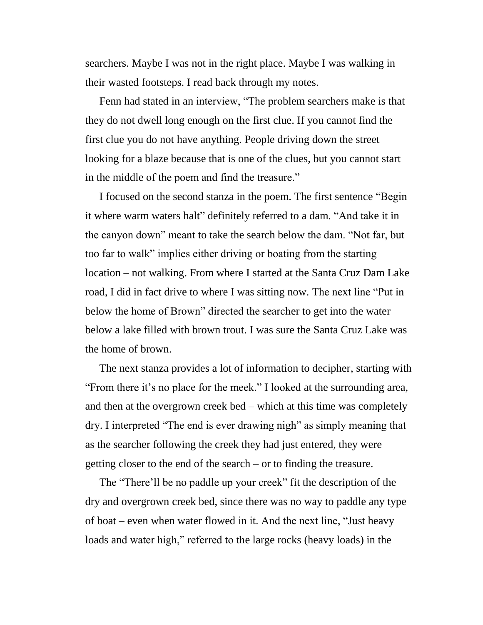searchers. Maybe I was not in the right place. Maybe I was walking in their wasted footsteps. I read back through my notes.

Fenn had stated in an interview, "The problem searchers make is that they do not dwell long enough on the first clue. If you cannot find the first clue you do not have anything. People driving down the street looking for a blaze because that is one of the clues, but you cannot start in the middle of the poem and find the treasure."

I focused on the second stanza in the poem. The first sentence "Begin it where warm waters halt" definitely referred to a dam. "And take it in the canyon down" meant to take the search below the dam. "Not far, but too far to walk" implies either driving or boating from the starting location – not walking. From where I started at the Santa Cruz Dam Lake road, I did in fact drive to where I was sitting now. The next line "Put in below the home of Brown" directed the searcher to get into the water below a lake filled with brown trout. I was sure the Santa Cruz Lake was the home of brown.

The next stanza provides a lot of information to decipher, starting with "From there it's no place for the meek." I looked at the surrounding area, and then at the overgrown creek bed – which at this time was completely dry. I interpreted "The end is ever drawing nigh" as simply meaning that as the searcher following the creek they had just entered, they were getting closer to the end of the search – or to finding the treasure.

The "There'll be no paddle up your creek" fit the description of the dry and overgrown creek bed, since there was no way to paddle any type of boat – even when water flowed in it. And the next line, "Just heavy loads and water high," referred to the large rocks (heavy loads) in the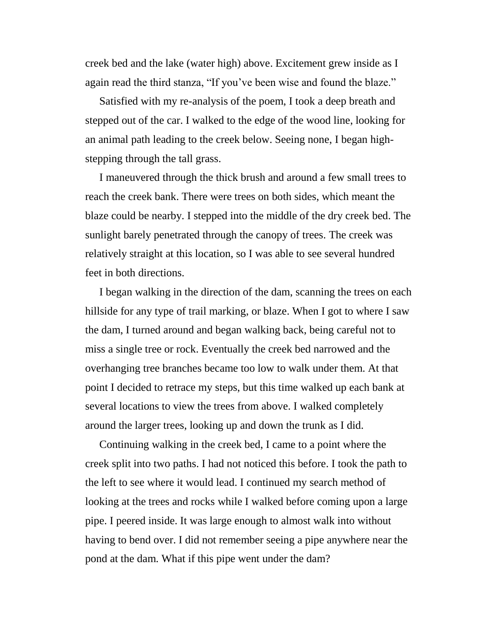creek bed and the lake (water high) above. Excitement grew inside as I again read the third stanza, "If you've been wise and found the blaze."

Satisfied with my re-analysis of the poem, I took a deep breath and stepped out of the car. I walked to the edge of the wood line, looking for an animal path leading to the creek below. Seeing none, I began highstepping through the tall grass.

I maneuvered through the thick brush and around a few small trees to reach the creek bank. There were trees on both sides, which meant the blaze could be nearby. I stepped into the middle of the dry creek bed. The sunlight barely penetrated through the canopy of trees. The creek was relatively straight at this location, so I was able to see several hundred feet in both directions.

I began walking in the direction of the dam, scanning the trees on each hillside for any type of trail marking, or blaze. When I got to where I saw the dam, I turned around and began walking back, being careful not to miss a single tree or rock. Eventually the creek bed narrowed and the overhanging tree branches became too low to walk under them. At that point I decided to retrace my steps, but this time walked up each bank at several locations to view the trees from above. I walked completely around the larger trees, looking up and down the trunk as I did.

Continuing walking in the creek bed, I came to a point where the creek split into two paths. I had not noticed this before. I took the path to the left to see where it would lead. I continued my search method of looking at the trees and rocks while I walked before coming upon a large pipe. I peered inside. It was large enough to almost walk into without having to bend over. I did not remember seeing a pipe anywhere near the pond at the dam. What if this pipe went under the dam?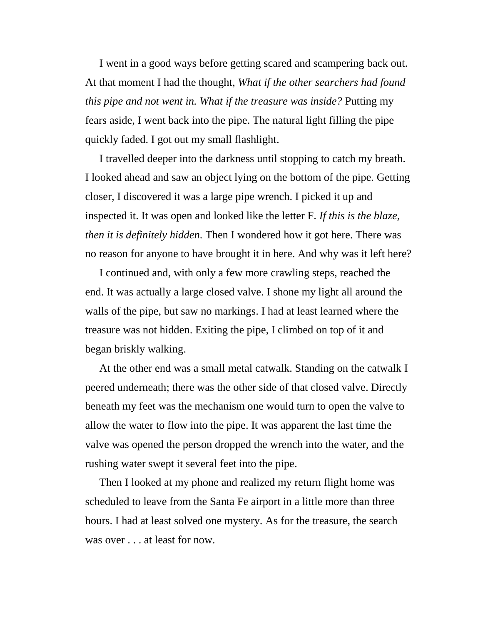I went in a good ways before getting scared and scampering back out. At that moment I had the thought, *What if the other searchers had found this pipe and not went in. What if the treasure was inside?* Putting my fears aside, I went back into the pipe. The natural light filling the pipe quickly faded. I got out my small flashlight.

I travelled deeper into the darkness until stopping to catch my breath. I looked ahead and saw an object lying on the bottom of the pipe. Getting closer, I discovered it was a large pipe wrench. I picked it up and inspected it. It was open and looked like the letter F. *If this is the blaze, then it is definitely hidden.* Then I wondered how it got here. There was no reason for anyone to have brought it in here. And why was it left here?

I continued and, with only a few more crawling steps, reached the end. It was actually a large closed valve. I shone my light all around the walls of the pipe, but saw no markings. I had at least learned where the treasure was not hidden. Exiting the pipe, I climbed on top of it and began briskly walking.

At the other end was a small metal catwalk. Standing on the catwalk I peered underneath; there was the other side of that closed valve. Directly beneath my feet was the mechanism one would turn to open the valve to allow the water to flow into the pipe. It was apparent the last time the valve was opened the person dropped the wrench into the water, and the rushing water swept it several feet into the pipe.

Then I looked at my phone and realized my return flight home was scheduled to leave from the Santa Fe airport in a little more than three hours. I had at least solved one mystery. As for the treasure, the search was over . . . at least for now.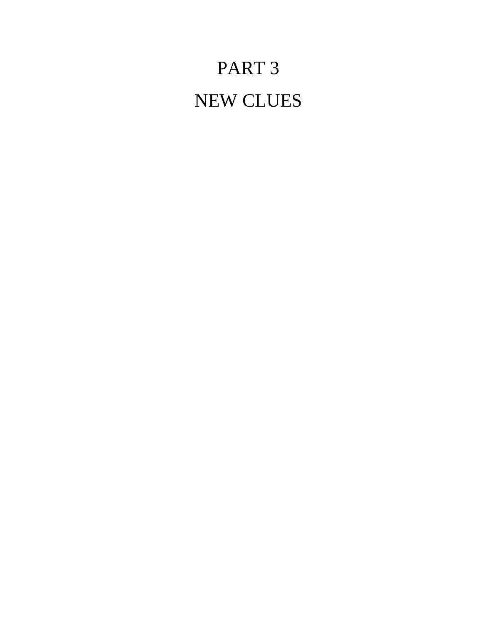# PART 3 NEW CLUES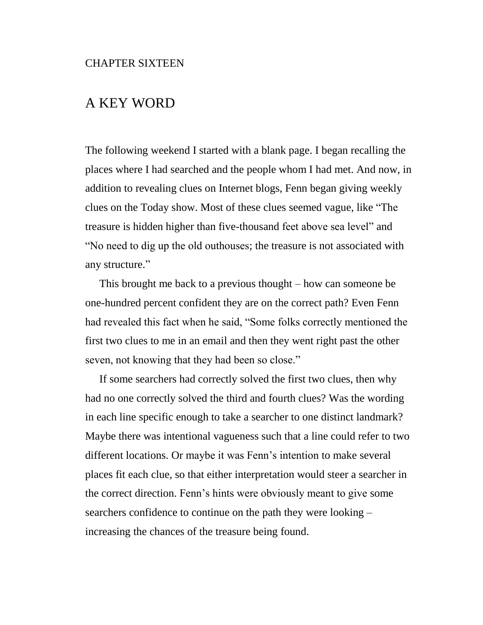# A KEY WORD

The following weekend I started with a blank page. I began recalling the places where I had searched and the people whom I had met. And now, in addition to revealing clues on Internet blogs, Fenn began giving weekly clues on the Today show. Most of these clues seemed vague, like "The treasure is hidden higher than five-thousand feet above sea level" and "No need to dig up the old outhouses; the treasure is not associated with any structure."

This brought me back to a previous thought – how can someone be one-hundred percent confident they are on the correct path? Even Fenn had revealed this fact when he said, "Some folks correctly mentioned the first two clues to me in an email and then they went right past the other seven, not knowing that they had been so close."

If some searchers had correctly solved the first two clues, then why had no one correctly solved the third and fourth clues? Was the wording in each line specific enough to take a searcher to one distinct landmark? Maybe there was intentional vagueness such that a line could refer to two different locations. Or maybe it was Fenn's intention to make several places fit each clue, so that either interpretation would steer a searcher in the correct direction. Fenn's hints were obviously meant to give some searchers confidence to continue on the path they were looking – increasing the chances of the treasure being found.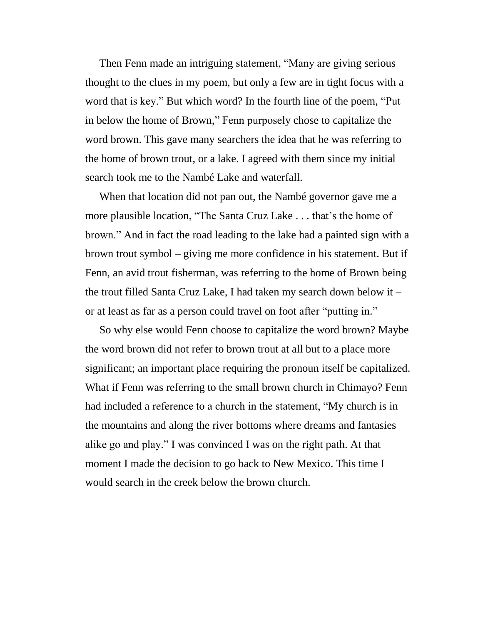Then Fenn made an intriguing statement, "Many are giving serious thought to the clues in my poem, but only a few are in tight focus with a word that is key." But which word? In the fourth line of the poem, "Put in below the home of Brown," Fenn purposely chose to capitalize the word brown. This gave many searchers the idea that he was referring to the home of brown trout, or a lake. I agreed with them since my initial search took me to the Nambé Lake and waterfall.

When that location did not pan out, the Nambé governor gave me a more plausible location, "The Santa Cruz Lake . . . that's the home of brown." And in fact the road leading to the lake had a painted sign with a brown trout symbol – giving me more confidence in his statement. But if Fenn, an avid trout fisherman, was referring to the home of Brown being the trout filled Santa Cruz Lake, I had taken my search down below it – or at least as far as a person could travel on foot after "putting in."

So why else would Fenn choose to capitalize the word brown? Maybe the word brown did not refer to brown trout at all but to a place more significant; an important place requiring the pronoun itself be capitalized. What if Fenn was referring to the small brown church in Chimayo? Fenn had included a reference to a church in the statement, "My church is in the mountains and along the river bottoms where dreams and fantasies alike go and play." I was convinced I was on the right path. At that moment I made the decision to go back to New Mexico. This time I would search in the creek below the brown church.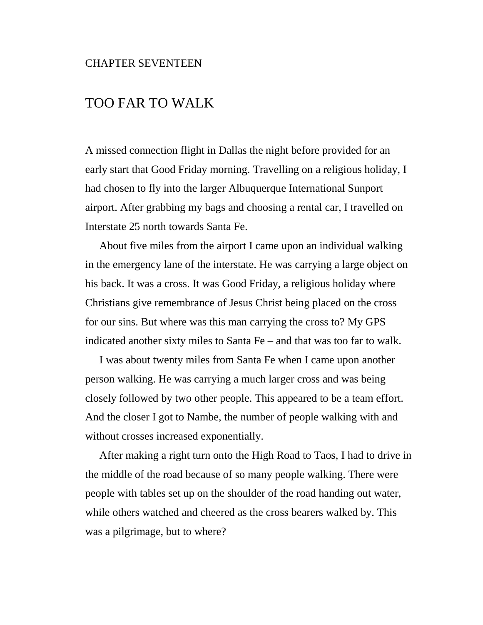#### CHAPTER SEVENTEEN

## TOO FAR TO WALK

A missed connection flight in Dallas the night before provided for an early start that Good Friday morning. Travelling on a religious holiday, I had chosen to fly into the larger Albuquerque International Sunport airport. After grabbing my bags and choosing a rental car, I travelled on Interstate 25 north towards Santa Fe.

About five miles from the airport I came upon an individual walking in the emergency lane of the interstate. He was carrying a large object on his back. It was a cross. It was Good Friday, a religious holiday where Christians give remembrance of Jesus Christ being placed on the cross for our sins. But where was this man carrying the cross to? My GPS indicated another sixty miles to Santa Fe – and that was too far to walk.

I was about twenty miles from Santa Fe when I came upon another person walking. He was carrying a much larger cross and was being closely followed by two other people. This appeared to be a team effort. And the closer I got to Nambe, the number of people walking with and without crosses increased exponentially.

After making a right turn onto the High Road to Taos, I had to drive in the middle of the road because of so many people walking. There were people with tables set up on the shoulder of the road handing out water, while others watched and cheered as the cross bearers walked by. This was a pilgrimage, but to where?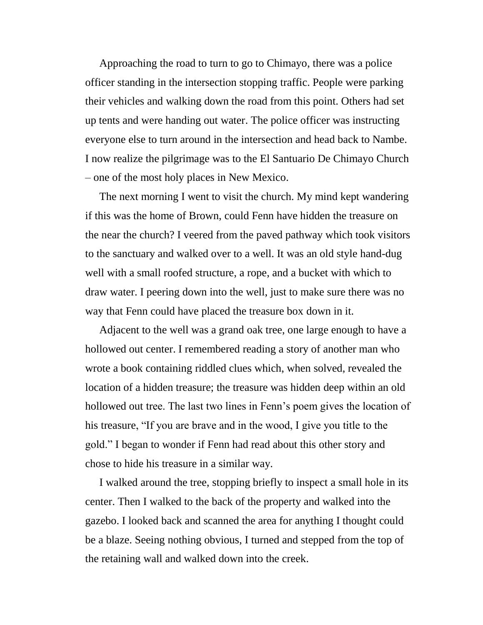Approaching the road to turn to go to Chimayo, there was a police officer standing in the intersection stopping traffic. People were parking their vehicles and walking down the road from this point. Others had set up tents and were handing out water. The police officer was instructing everyone else to turn around in the intersection and head back to Nambe. I now realize the pilgrimage was to the El Santuario De Chimayo Church – one of the most holy places in New Mexico.

The next morning I went to visit the church. My mind kept wandering if this was the home of Brown, could Fenn have hidden the treasure on the near the church? I veered from the paved pathway which took visitors to the sanctuary and walked over to a well. It was an old style hand-dug well with a small roofed structure, a rope, and a bucket with which to draw water. I peering down into the well, just to make sure there was no way that Fenn could have placed the treasure box down in it.

Adjacent to the well was a grand oak tree, one large enough to have a hollowed out center. I remembered reading a story of another man who wrote a book containing riddled clues which, when solved, revealed the location of a hidden treasure; the treasure was hidden deep within an old hollowed out tree. The last two lines in Fenn's poem gives the location of his treasure, "If you are brave and in the wood, I give you title to the gold." I began to wonder if Fenn had read about this other story and chose to hide his treasure in a similar way.

I walked around the tree, stopping briefly to inspect a small hole in its center. Then I walked to the back of the property and walked into the gazebo. I looked back and scanned the area for anything I thought could be a blaze. Seeing nothing obvious, I turned and stepped from the top of the retaining wall and walked down into the creek.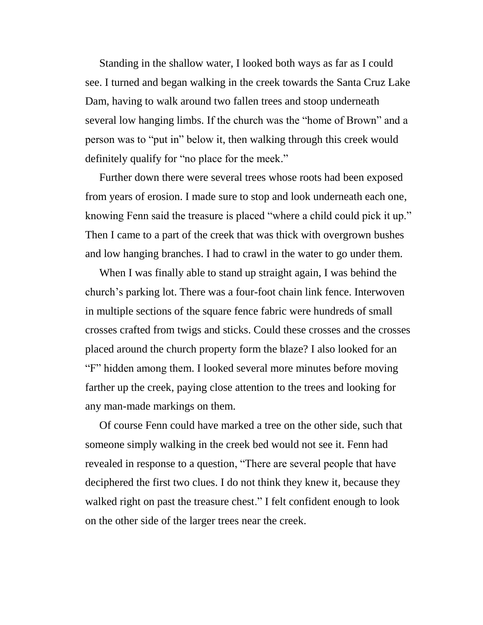Standing in the shallow water, I looked both ways as far as I could see. I turned and began walking in the creek towards the Santa Cruz Lake Dam, having to walk around two fallen trees and stoop underneath several low hanging limbs. If the church was the "home of Brown" and a person was to "put in" below it, then walking through this creek would definitely qualify for "no place for the meek."

Further down there were several trees whose roots had been exposed from years of erosion. I made sure to stop and look underneath each one, knowing Fenn said the treasure is placed "where a child could pick it up." Then I came to a part of the creek that was thick with overgrown bushes and low hanging branches. I had to crawl in the water to go under them.

When I was finally able to stand up straight again, I was behind the church's parking lot. There was a four-foot chain link fence. Interwoven in multiple sections of the square fence fabric were hundreds of small crosses crafted from twigs and sticks. Could these crosses and the crosses placed around the church property form the blaze? I also looked for an "F" hidden among them. I looked several more minutes before moving farther up the creek, paying close attention to the trees and looking for any man-made markings on them.

Of course Fenn could have marked a tree on the other side, such that someone simply walking in the creek bed would not see it. Fenn had revealed in response to a question, "There are several people that have deciphered the first two clues. I do not think they knew it, because they walked right on past the treasure chest." I felt confident enough to look on the other side of the larger trees near the creek.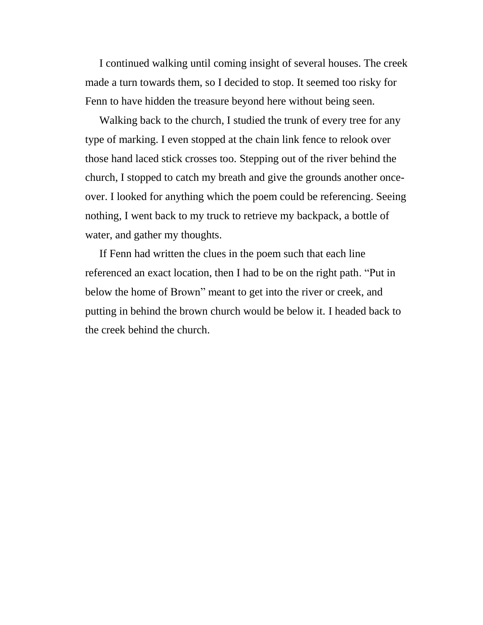I continued walking until coming insight of several houses. The creek made a turn towards them, so I decided to stop. It seemed too risky for Fenn to have hidden the treasure beyond here without being seen.

Walking back to the church, I studied the trunk of every tree for any type of marking. I even stopped at the chain link fence to relook over those hand laced stick crosses too. Stepping out of the river behind the church, I stopped to catch my breath and give the grounds another onceover. I looked for anything which the poem could be referencing. Seeing nothing, I went back to my truck to retrieve my backpack, a bottle of water, and gather my thoughts.

If Fenn had written the clues in the poem such that each line referenced an exact location, then I had to be on the right path. "Put in below the home of Brown" meant to get into the river or creek, and putting in behind the brown church would be below it. I headed back to the creek behind the church.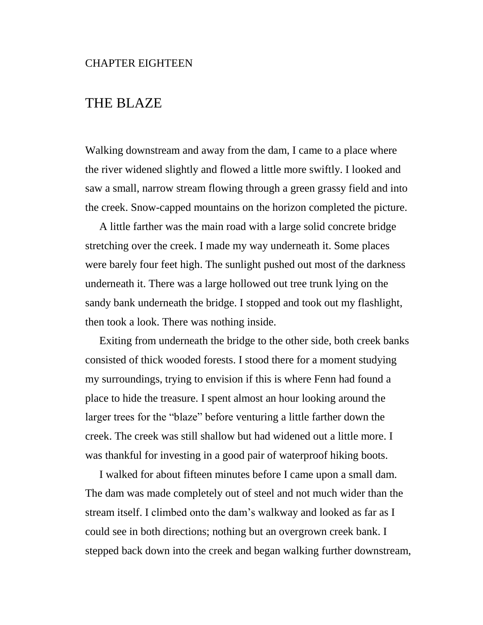# THE BLAZE

Walking downstream and away from the dam, I came to a place where the river widened slightly and flowed a little more swiftly. I looked and saw a small, narrow stream flowing through a green grassy field and into the creek. Snow-capped mountains on the horizon completed the picture.

A little farther was the main road with a large solid concrete bridge stretching over the creek. I made my way underneath it. Some places were barely four feet high. The sunlight pushed out most of the darkness underneath it. There was a large hollowed out tree trunk lying on the sandy bank underneath the bridge. I stopped and took out my flashlight, then took a look. There was nothing inside.

Exiting from underneath the bridge to the other side, both creek banks consisted of thick wooded forests. I stood there for a moment studying my surroundings, trying to envision if this is where Fenn had found a place to hide the treasure. I spent almost an hour looking around the larger trees for the "blaze" before venturing a little farther down the creek. The creek was still shallow but had widened out a little more. I was thankful for investing in a good pair of waterproof hiking boots.

I walked for about fifteen minutes before I came upon a small dam. The dam was made completely out of steel and not much wider than the stream itself. I climbed onto the dam's walkway and looked as far as I could see in both directions; nothing but an overgrown creek bank. I stepped back down into the creek and began walking further downstream,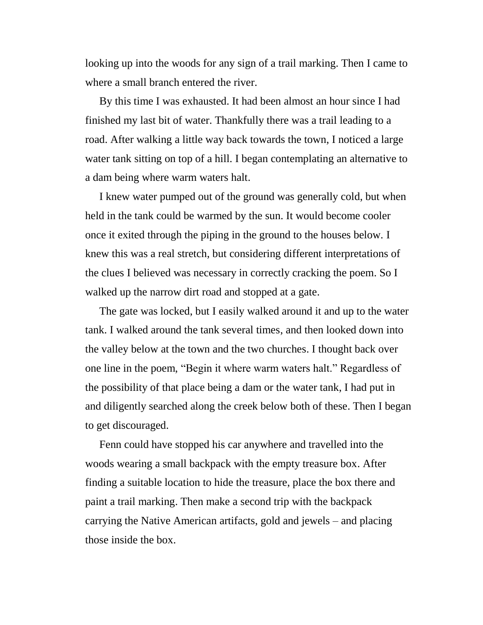looking up into the woods for any sign of a trail marking. Then I came to where a small branch entered the river.

By this time I was exhausted. It had been almost an hour since I had finished my last bit of water. Thankfully there was a trail leading to a road. After walking a little way back towards the town, I noticed a large water tank sitting on top of a hill. I began contemplating an alternative to a dam being where warm waters halt.

I knew water pumped out of the ground was generally cold, but when held in the tank could be warmed by the sun. It would become cooler once it exited through the piping in the ground to the houses below. I knew this was a real stretch, but considering different interpretations of the clues I believed was necessary in correctly cracking the poem. So I walked up the narrow dirt road and stopped at a gate.

The gate was locked, but I easily walked around it and up to the water tank. I walked around the tank several times, and then looked down into the valley below at the town and the two churches. I thought back over one line in the poem, "Begin it where warm waters halt." Regardless of the possibility of that place being a dam or the water tank, I had put in and diligently searched along the creek below both of these. Then I began to get discouraged.

Fenn could have stopped his car anywhere and travelled into the woods wearing a small backpack with the empty treasure box. After finding a suitable location to hide the treasure, place the box there and paint a trail marking. Then make a second trip with the backpack carrying the Native American artifacts, gold and jewels – and placing those inside the box.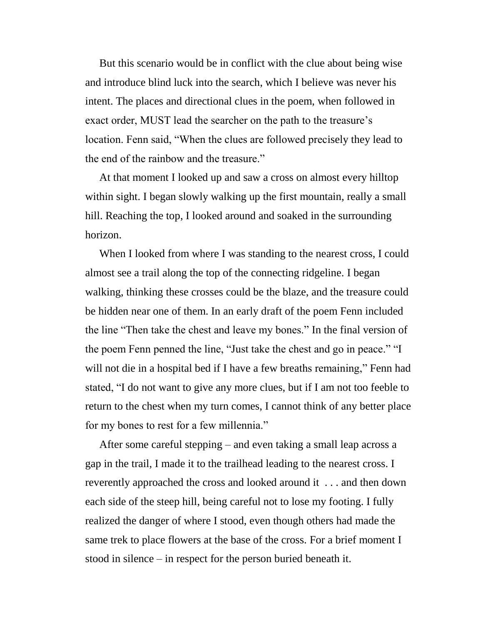But this scenario would be in conflict with the clue about being wise and introduce blind luck into the search, which I believe was never his intent. The places and directional clues in the poem, when followed in exact order, MUST lead the searcher on the path to the treasure's location. Fenn said, "When the clues are followed precisely they lead to the end of the rainbow and the treasure."

At that moment I looked up and saw a cross on almost every hilltop within sight. I began slowly walking up the first mountain, really a small hill. Reaching the top, I looked around and soaked in the surrounding horizon.

When I looked from where I was standing to the nearest cross, I could almost see a trail along the top of the connecting ridgeline. I began walking, thinking these crosses could be the blaze, and the treasure could be hidden near one of them. In an early draft of the poem Fenn included the line "Then take the chest and leave my bones." In the final version of the poem Fenn penned the line, "Just take the chest and go in peace." "I will not die in a hospital bed if I have a few breaths remaining," Fenn had stated, "I do not want to give any more clues, but if I am not too feeble to return to the chest when my turn comes, I cannot think of any better place for my bones to rest for a few millennia."

After some careful stepping – and even taking a small leap across a gap in the trail, I made it to the trailhead leading to the nearest cross. I reverently approached the cross and looked around it . . . and then down each side of the steep hill, being careful not to lose my footing. I fully realized the danger of where I stood, even though others had made the same trek to place flowers at the base of the cross. For a brief moment I stood in silence – in respect for the person buried beneath it.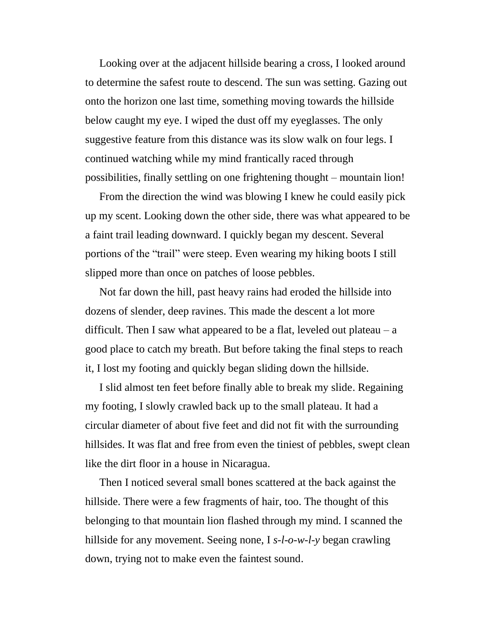Looking over at the adjacent hillside bearing a cross, I looked around to determine the safest route to descend. The sun was setting. Gazing out onto the horizon one last time, something moving towards the hillside below caught my eye. I wiped the dust off my eyeglasses. The only suggestive feature from this distance was its slow walk on four legs. I continued watching while my mind frantically raced through possibilities, finally settling on one frightening thought – mountain lion!

From the direction the wind was blowing I knew he could easily pick up my scent. Looking down the other side, there was what appeared to be a faint trail leading downward. I quickly began my descent. Several portions of the "trail" were steep. Even wearing my hiking boots I still slipped more than once on patches of loose pebbles.

Not far down the hill, past heavy rains had eroded the hillside into dozens of slender, deep ravines. This made the descent a lot more difficult. Then I saw what appeared to be a flat, leveled out plateau  $-a$ good place to catch my breath. But before taking the final steps to reach it, I lost my footing and quickly began sliding down the hillside.

I slid almost ten feet before finally able to break my slide. Regaining my footing, I slowly crawled back up to the small plateau. It had a circular diameter of about five feet and did not fit with the surrounding hillsides. It was flat and free from even the tiniest of pebbles, swept clean like the dirt floor in a house in Nicaragua.

Then I noticed several small bones scattered at the back against the hillside. There were a few fragments of hair, too. The thought of this belonging to that mountain lion flashed through my mind. I scanned the hillside for any movement. Seeing none, I *s-l-o-w-l-y* began crawling down, trying not to make even the faintest sound.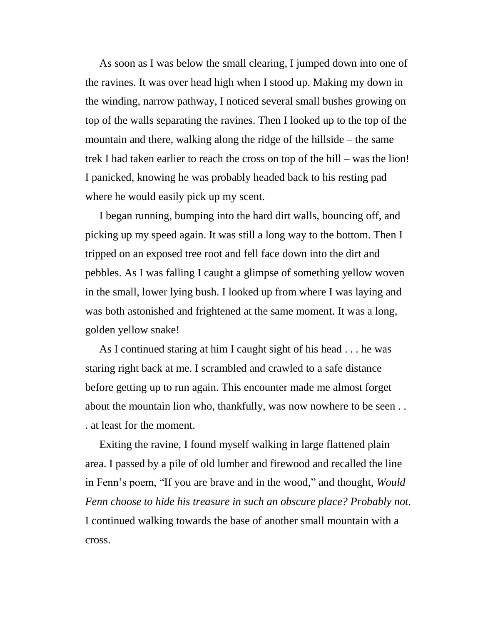As soon as I was below the small clearing, I jumped down into one of the ravines. It was over head high when I stood up. Making my down in the winding, narrow pathway, I noticed several small bushes growing on top of the walls separating the ravines. Then I looked up to the top of the mountain and there, walking along the ridge of the hillside – the same trek I had taken earlier to reach the cross on top of the hill – was the lion! I panicked, knowing he was probably headed back to his resting pad where he would easily pick up my scent.

I began running, bumping into the hard dirt walls, bouncing off, and picking up my speed again. It was still a long way to the bottom. Then I tripped on an exposed tree root and fell face down into the dirt and pebbles. As I was falling I caught a glimpse of something yellow woven in the small, lower lying bush. I looked up from where I was laying and was both astonished and frightened at the same moment. It was a long, golden yellow snake!

As I continued staring at him I caught sight of his head . . . he was staring right back at me. I scrambled and crawled to a safe distance before getting up to run again. This encounter made me almost forget about the mountain lion who, thankfully, was now nowhere to be seen . . . at least for the moment.

Exiting the ravine, I found myself walking in large flattened plain area. I passed by a pile of old lumber and firewood and recalled the line in Fenn's poem, "If you are brave and in the wood," and thought, *Would Fenn choose to hide his treasure in such an obscure place? Probably not.* I continued walking towards the base of another small mountain with a cross.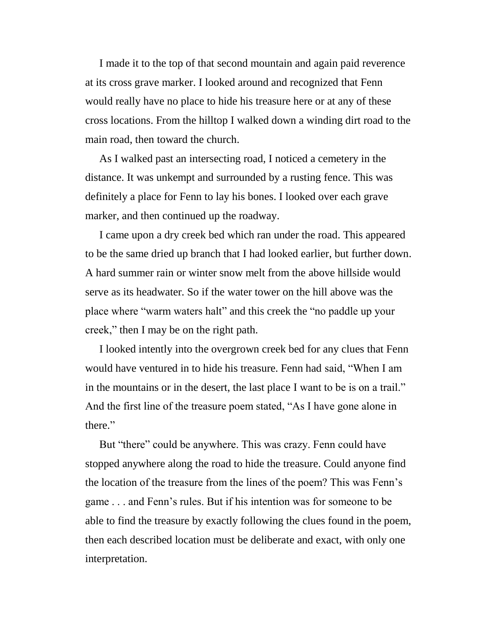I made it to the top of that second mountain and again paid reverence at its cross grave marker. I looked around and recognized that Fenn would really have no place to hide his treasure here or at any of these cross locations. From the hilltop I walked down a winding dirt road to the main road, then toward the church.

As I walked past an intersecting road, I noticed a cemetery in the distance. It was unkempt and surrounded by a rusting fence. This was definitely a place for Fenn to lay his bones. I looked over each grave marker, and then continued up the roadway.

I came upon a dry creek bed which ran under the road. This appeared to be the same dried up branch that I had looked earlier, but further down. A hard summer rain or winter snow melt from the above hillside would serve as its headwater. So if the water tower on the hill above was the place where "warm waters halt" and this creek the "no paddle up your creek," then I may be on the right path.

I looked intently into the overgrown creek bed for any clues that Fenn would have ventured in to hide his treasure. Fenn had said, "When I am in the mountains or in the desert, the last place I want to be is on a trail." And the first line of the treasure poem stated, "As I have gone alone in there."

But "there" could be anywhere. This was crazy. Fenn could have stopped anywhere along the road to hide the treasure. Could anyone find the location of the treasure from the lines of the poem? This was Fenn's game . . . and Fenn's rules. But if his intention was for someone to be able to find the treasure by exactly following the clues found in the poem, then each described location must be deliberate and exact, with only one interpretation.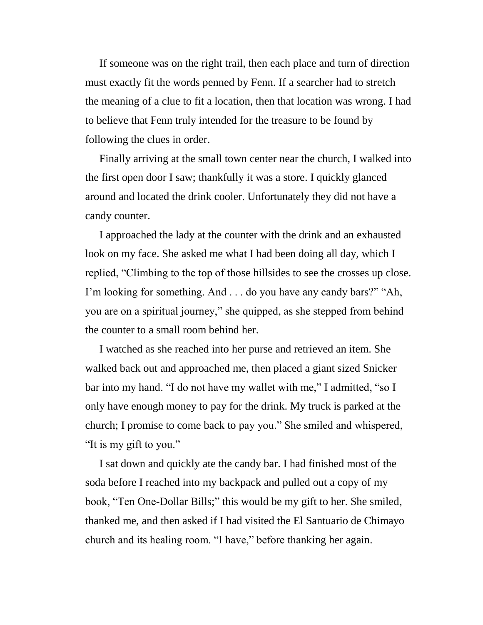If someone was on the right trail, then each place and turn of direction must exactly fit the words penned by Fenn. If a searcher had to stretch the meaning of a clue to fit a location, then that location was wrong. I had to believe that Fenn truly intended for the treasure to be found by following the clues in order.

Finally arriving at the small town center near the church, I walked into the first open door I saw; thankfully it was a store. I quickly glanced around and located the drink cooler. Unfortunately they did not have a candy counter.

I approached the lady at the counter with the drink and an exhausted look on my face. She asked me what I had been doing all day, which I replied, "Climbing to the top of those hillsides to see the crosses up close. I'm looking for something. And . . . do you have any candy bars?" "Ah, you are on a spiritual journey," she quipped, as she stepped from behind the counter to a small room behind her.

I watched as she reached into her purse and retrieved an item. She walked back out and approached me, then placed a giant sized Snicker bar into my hand. "I do not have my wallet with me," I admitted, "so I only have enough money to pay for the drink. My truck is parked at the church; I promise to come back to pay you." She smiled and whispered, "It is my gift to you."

I sat down and quickly ate the candy bar. I had finished most of the soda before I reached into my backpack and pulled out a copy of my book, "Ten One-Dollar Bills;" this would be my gift to her. She smiled, thanked me, and then asked if I had visited the El Santuario de Chimayo church and its healing room. "I have," before thanking her again.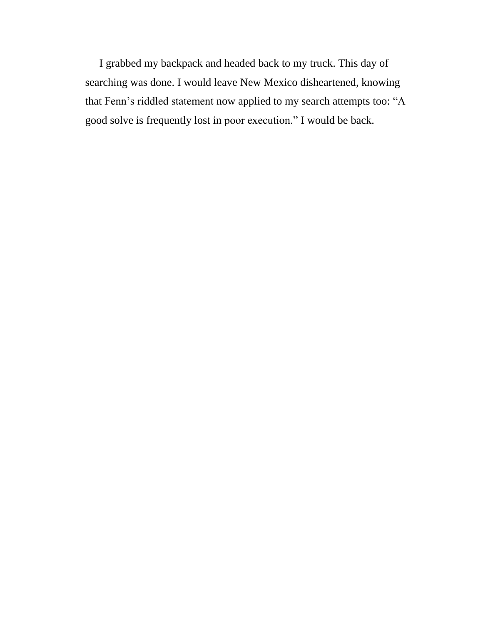I grabbed my backpack and headed back to my truck. This day of searching was done. I would leave New Mexico disheartened, knowing that Fenn's riddled statement now applied to my search attempts too: "A good solve is frequently lost in poor execution." I would be back.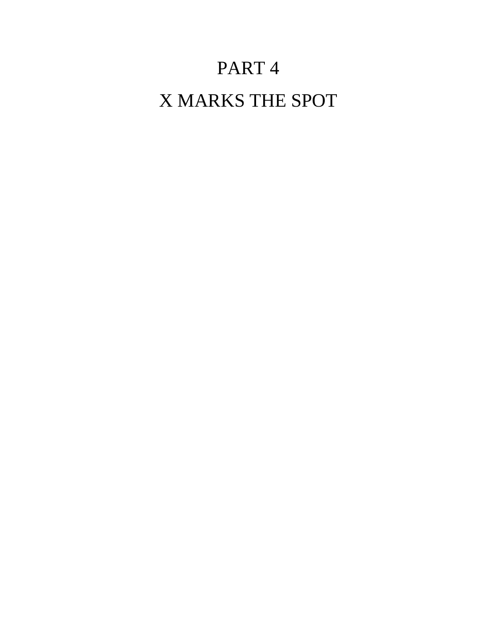# PART 4

## X MARKS THE SPOT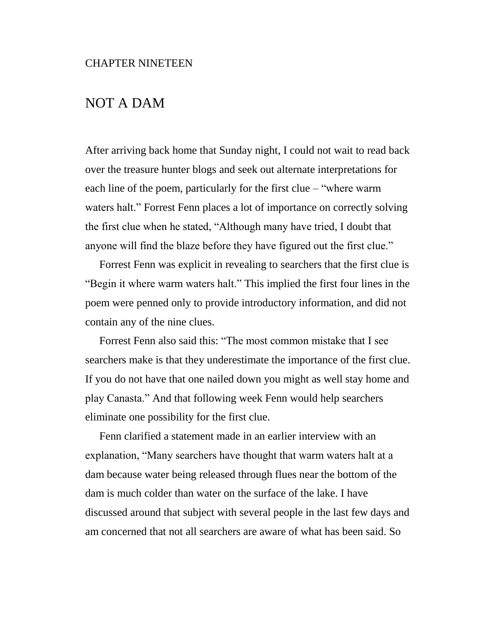### NOT A DAM

After arriving back home that Sunday night, I could not wait to read back over the treasure hunter blogs and seek out alternate interpretations for each line of the poem, particularly for the first clue – "where warm waters halt." Forrest Fenn places a lot of importance on correctly solving the first clue when he stated, "Although many have tried, I doubt that anyone will find the blaze before they have figured out the first clue."

Forrest Fenn was explicit in revealing to searchers that the first clue is "Begin it where warm waters halt." This implied the first four lines in the poem were penned only to provide introductory information, and did not contain any of the nine clues.

Forrest Fenn also said this: "The most common mistake that I see searchers make is that they underestimate the importance of the first clue. If you do not have that one nailed down you might as well stay home and play Canasta." And that following week Fenn would help searchers eliminate one possibility for the first clue.

Fenn clarified a statement made in an earlier interview with an explanation, "Many searchers have thought that warm waters halt at a dam because water being released through flues near the bottom of the dam is much colder than water on the surface of the lake. I have discussed around that subject with several people in the last few days and am concerned that not all searchers are aware of what has been said. So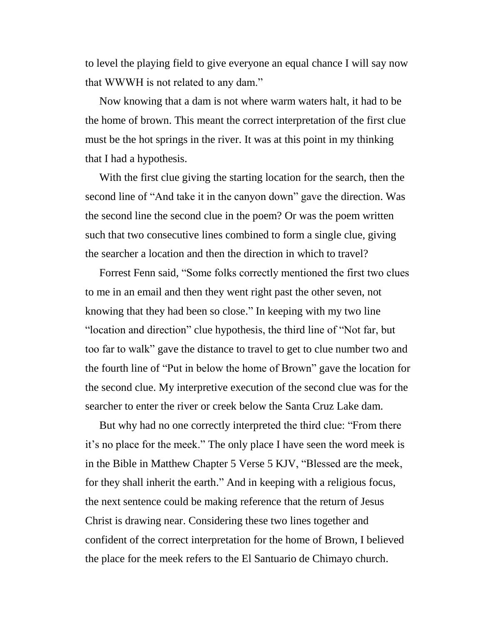to level the playing field to give everyone an equal chance I will say now that WWWH is not related to any dam."

Now knowing that a dam is not where warm waters halt, it had to be the home of brown. This meant the correct interpretation of the first clue must be the hot springs in the river. It was at this point in my thinking that I had a hypothesis.

With the first clue giving the starting location for the search, then the second line of "And take it in the canyon down" gave the direction. Was the second line the second clue in the poem? Or was the poem written such that two consecutive lines combined to form a single clue, giving the searcher a location and then the direction in which to travel?

Forrest Fenn said, "Some folks correctly mentioned the first two clues to me in an email and then they went right past the other seven, not knowing that they had been so close." In keeping with my two line "location and direction" clue hypothesis, the third line of "Not far, but too far to walk" gave the distance to travel to get to clue number two and the fourth line of "Put in below the home of Brown" gave the location for the second clue. My interpretive execution of the second clue was for the searcher to enter the river or creek below the Santa Cruz Lake dam.

But why had no one correctly interpreted the third clue: "From there it's no place for the meek." The only place I have seen the word meek is in the Bible in Matthew Chapter 5 Verse 5 KJV, "Blessed are the meek, for they shall inherit the earth." And in keeping with a religious focus, the next sentence could be making reference that the return of Jesus Christ is drawing near. Considering these two lines together and confident of the correct interpretation for the home of Brown, I believed the place for the meek refers to the El Santuario de Chimayo church.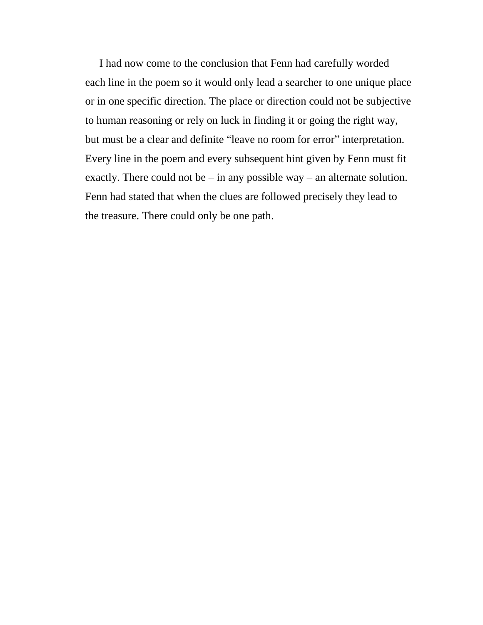I had now come to the conclusion that Fenn had carefully worded each line in the poem so it would only lead a searcher to one unique place or in one specific direction. The place or direction could not be subjective to human reasoning or rely on luck in finding it or going the right way, but must be a clear and definite "leave no room for error" interpretation. Every line in the poem and every subsequent hint given by Fenn must fit exactly. There could not be  $-$  in any possible way  $-$  an alternate solution. Fenn had stated that when the clues are followed precisely they lead to the treasure. There could only be one path.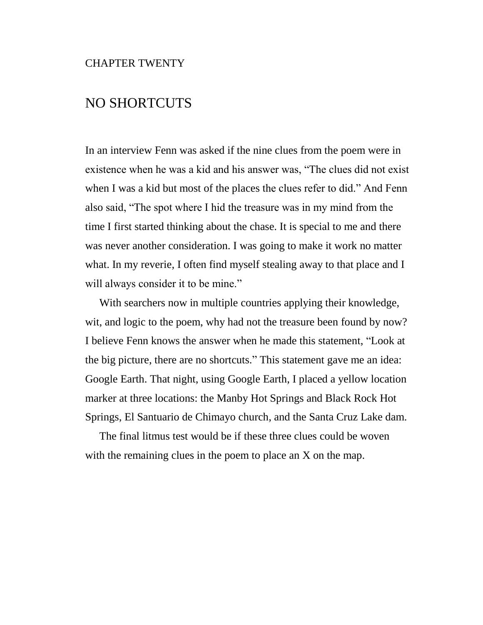## NO SHORTCUTS

In an interview Fenn was asked if the nine clues from the poem were in existence when he was a kid and his answer was, "The clues did not exist when I was a kid but most of the places the clues refer to did." And Fenn also said, "The spot where I hid the treasure was in my mind from the time I first started thinking about the chase. It is special to me and there was never another consideration. I was going to make it work no matter what. In my reverie, I often find myself stealing away to that place and I will always consider it to be mine."

With searchers now in multiple countries applying their knowledge, wit, and logic to the poem, why had not the treasure been found by now? I believe Fenn knows the answer when he made this statement, "Look at the big picture, there are no shortcuts." This statement gave me an idea: Google Earth. That night, using Google Earth, I placed a yellow location marker at three locations: the Manby Hot Springs and Black Rock Hot Springs, El Santuario de Chimayo church, and the Santa Cruz Lake dam.

The final litmus test would be if these three clues could be woven with the remaining clues in the poem to place an X on the map.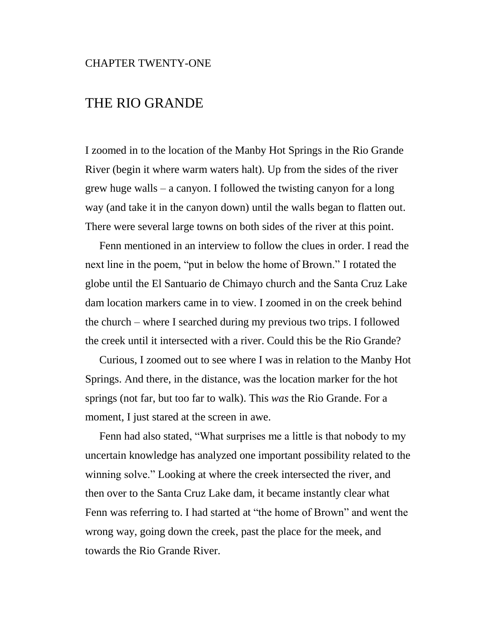#### CHAPTER TWENTY-ONE

### THE RIO GRANDE

I zoomed in to the location of the Manby Hot Springs in the Rio Grande River (begin it where warm waters halt). Up from the sides of the river grew huge walls – a canyon. I followed the twisting canyon for a long way (and take it in the canyon down) until the walls began to flatten out. There were several large towns on both sides of the river at this point.

Fenn mentioned in an interview to follow the clues in order. I read the next line in the poem, "put in below the home of Brown." I rotated the globe until the El Santuario de Chimayo church and the Santa Cruz Lake dam location markers came in to view. I zoomed in on the creek behind the church – where I searched during my previous two trips. I followed the creek until it intersected with a river. Could this be the Rio Grande?

Curious, I zoomed out to see where I was in relation to the Manby Hot Springs. And there, in the distance, was the location marker for the hot springs (not far, but too far to walk). This *was* the Rio Grande. For a moment, I just stared at the screen in awe.

Fenn had also stated, "What surprises me a little is that nobody to my uncertain knowledge has analyzed one important possibility related to the winning solve." Looking at where the creek intersected the river, and then over to the Santa Cruz Lake dam, it became instantly clear what Fenn was referring to. I had started at "the home of Brown" and went the wrong way, going down the creek, past the place for the meek, and towards the Rio Grande River.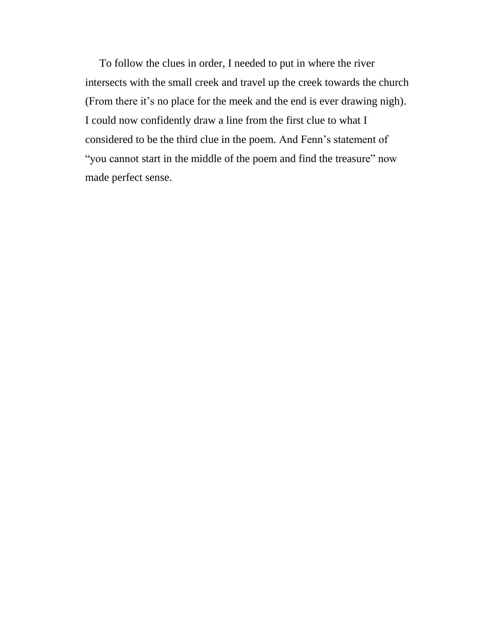To follow the clues in order, I needed to put in where the river intersects with the small creek and travel up the creek towards the church (From there it's no place for the meek and the end is ever drawing nigh). I could now confidently draw a line from the first clue to what I considered to be the third clue in the poem. And Fenn's statement of "you cannot start in the middle of the poem and find the treasure" now made perfect sense.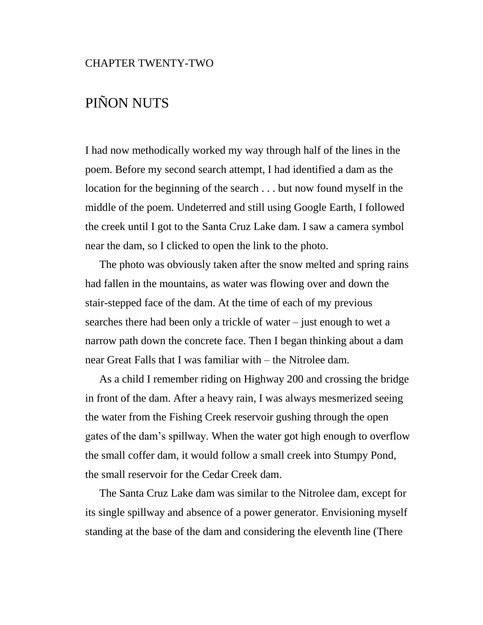## PIÑON NUTS

I had now methodically worked my way through half of the lines in the poem. Before my second search attempt, I had identified a dam as the location for the beginning of the search . . . but now found myself in the middle of the poem. Undeterred and still using Google Earth, I followed the creek until I got to the Santa Cruz Lake dam. I saw a camera symbol near the dam, so I clicked to open the link to the photo.

The photo was obviously taken after the snow melted and spring rains had fallen in the mountains, as water was flowing over and down the stair-stepped face of the dam. At the time of each of my previous searches there had been only a trickle of water – just enough to wet a narrow path down the concrete face. Then I began thinking about a dam near Great Falls that I was familiar with – the Nitrolee dam.

As a child I remember riding on Highway 200 and crossing the bridge in front of the dam. After a heavy rain, I was always mesmerized seeing the water from the Fishing Creek reservoir gushing through the open gates of the dam's spillway. When the water got high enough to overflow the small coffer dam, it would follow a small creek into Stumpy Pond, the small reservoir for the Cedar Creek dam.

The Santa Cruz Lake dam was similar to the Nitrolee dam, except for its single spillway and absence of a power generator. Envisioning myself standing at the base of the dam and considering the eleventh line (There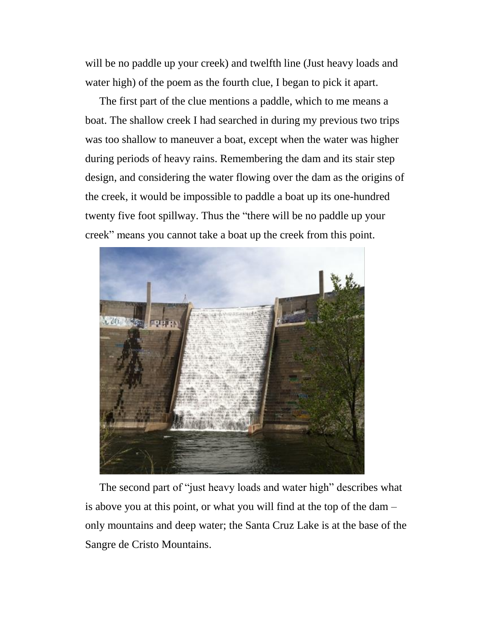will be no paddle up your creek) and twelfth line (Just heavy loads and water high) of the poem as the fourth clue, I began to pick it apart.

The first part of the clue mentions a paddle, which to me means a boat. The shallow creek I had searched in during my previous two trips was too shallow to maneuver a boat, except when the water was higher during periods of heavy rains. Remembering the dam and its stair step design, and considering the water flowing over the dam as the origins of the creek, it would be impossible to paddle a boat up its one-hundred twenty five foot spillway. Thus the "there will be no paddle up your creek" means you cannot take a boat up the creek from this point.



The second part of "just heavy loads and water high" describes what is above you at this point, or what you will find at the top of the dam – only mountains and deep water; the Santa Cruz Lake is at the base of the Sangre de Cristo Mountains.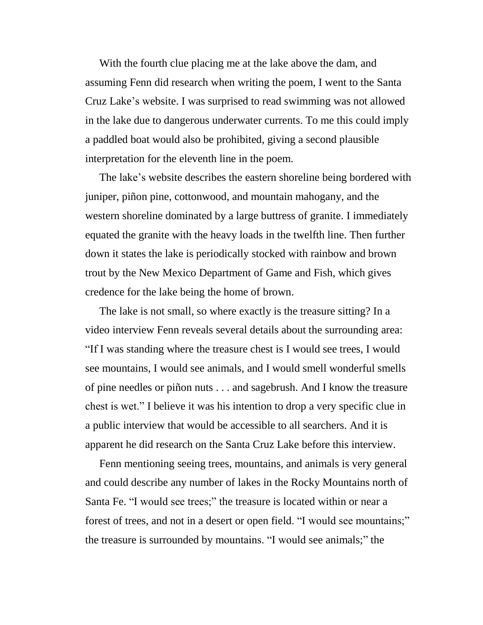With the fourth clue placing me at the lake above the dam, and assuming Fenn did research when writing the poem, I went to the Santa Cruz Lake's website. I was surprised to read swimming was not allowed in the lake due to dangerous underwater currents. To me this could imply a paddled boat would also be prohibited, giving a second plausible interpretation for the eleventh line in the poem.

The lake's website describes the eastern shoreline being bordered with juniper, piñon pine, cottonwood, and mountain mahogany, and the western shoreline dominated by a large buttress of granite. I immediately equated the granite with the heavy loads in the twelfth line. Then further down it states the lake is periodically stocked with rainbow and brown trout by the New Mexico Department of Game and Fish, which gives credence for the lake being the home of brown.

The lake is not small, so where exactly is the treasure sitting? In a video interview Fenn reveals several details about the surrounding area: "If I was standing where the treasure chest is I would see trees, I would see mountains, I would see animals, and I would smell wonderful smells of pine needles or piñon nuts . . . and sagebrush. And I know the treasure chest is wet." I believe it was his intention to drop a very specific clue in a public interview that would be accessible to all searchers. And it is apparent he did research on the Santa Cruz Lake before this interview.

Fenn mentioning seeing trees, mountains, and animals is very general and could describe any number of lakes in the Rocky Mountains north of Santa Fe. "I would see trees;" the treasure is located within or near a forest of trees, and not in a desert or open field. "I would see mountains;" the treasure is surrounded by mountains. "I would see animals;" the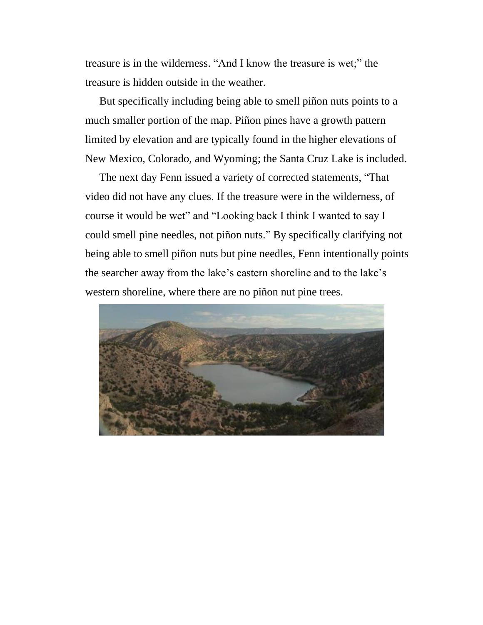treasure is in the wilderness. "And I know the treasure is wet;" the treasure is hidden outside in the weather.

But specifically including being able to smell piñon nuts points to a much smaller portion of the map. Piñon pines have a growth pattern limited by elevation and are typically found in the higher elevations of New Mexico, Colorado, and Wyoming; the Santa Cruz Lake is included.

The next day Fenn issued a variety of corrected statements, "That video did not have any clues. If the treasure were in the wilderness, of course it would be wet" and "Looking back I think I wanted to say I could smell pine needles, not piñon nuts." By specifically clarifying not being able to smell piñon nuts but pine needles, Fenn intentionally points the searcher away from the lake's eastern shoreline and to the lake's western shoreline, where there are no piñon nut pine trees.

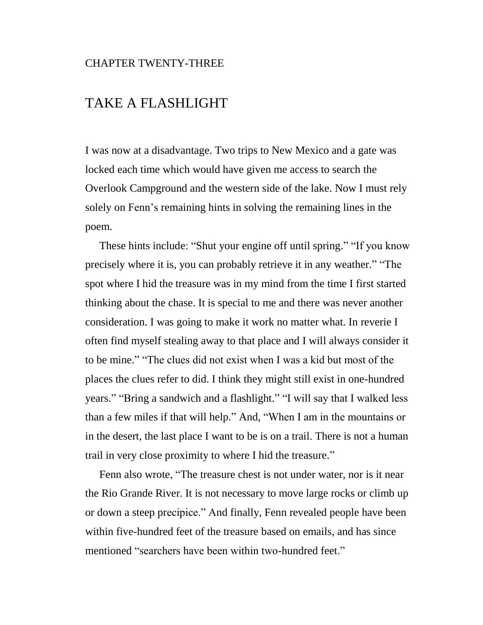#### CHAPTER TWENTY-THREE

### TAKE A FLASHLIGHT

I was now at a disadvantage. Two trips to New Mexico and a gate was locked each time which would have given me access to search the Overlook Campground and the western side of the lake. Now I must rely solely on Fenn's remaining hints in solving the remaining lines in the poem.

These hints include: "Shut your engine off until spring." "If you know precisely where it is, you can probably retrieve it in any weather." "The spot where I hid the treasure was in my mind from the time I first started thinking about the chase. It is special to me and there was never another consideration. I was going to make it work no matter what. In reverie I often find myself stealing away to that place and I will always consider it to be mine." "The clues did not exist when I was a kid but most of the places the clues refer to did. I think they might still exist in one-hundred years." "Bring a sandwich and a flashlight." "I will say that I walked less than a few miles if that will help." And, "When I am in the mountains or in the desert, the last place I want to be is on a trail. There is not a human trail in very close proximity to where I hid the treasure."

Fenn also wrote, "The treasure chest is not under water, nor is it near the Rio Grande River. It is not necessary to move large rocks or climb up or down a steep precipice." And finally, Fenn revealed people have been within five-hundred feet of the treasure based on emails, and has since mentioned "searchers have been within two-hundred feet."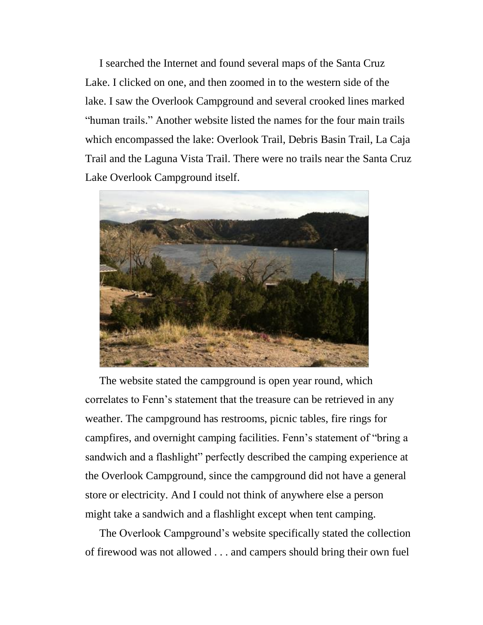I searched the Internet and found several maps of the Santa Cruz Lake. I clicked on one, and then zoomed in to the western side of the lake. I saw the Overlook Campground and several crooked lines marked "human trails." Another website listed the names for the four main trails which encompassed the lake: Overlook Trail, Debris Basin Trail, La Caja Trail and the Laguna Vista Trail. There were no trails near the Santa Cruz Lake Overlook Campground itself.



The website stated the campground is open year round, which correlates to Fenn's statement that the treasure can be retrieved in any weather. The campground has restrooms, picnic tables, fire rings for campfires, and overnight camping facilities. Fenn's statement of "bring a sandwich and a flashlight" perfectly described the camping experience at the Overlook Campground, since the campground did not have a general store or electricity. And I could not think of anywhere else a person might take a sandwich and a flashlight except when tent camping.

The Overlook Campground's website specifically stated the collection of firewood was not allowed . . . and campers should bring their own fuel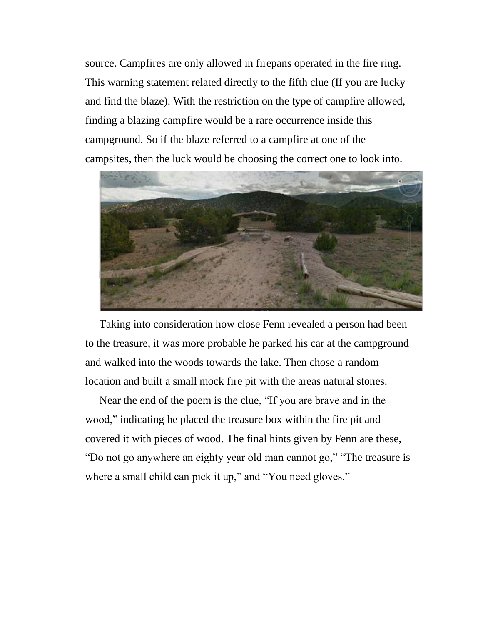source. Campfires are only allowed in firepans operated in the fire ring. This warning statement related directly to the fifth clue (If you are lucky and find the blaze). With the restriction on the type of campfire allowed, finding a blazing campfire would be a rare occurrence inside this campground. So if the blaze referred to a campfire at one of the campsites, then the luck would be choosing the correct one to look into.



Taking into consideration how close Fenn revealed a person had been to the treasure, it was more probable he parked his car at the campground and walked into the woods towards the lake. Then chose a random location and built a small mock fire pit with the areas natural stones.

Near the end of the poem is the clue, "If you are brave and in the wood," indicating he placed the treasure box within the fire pit and covered it with pieces of wood. The final hints given by Fenn are these, "Do not go anywhere an eighty year old man cannot go," "The treasure is where a small child can pick it up," and "You need gloves."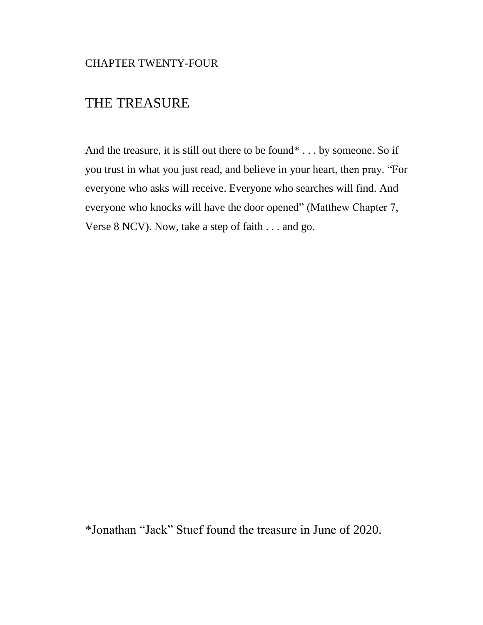## THE TREASURE

And the treasure, it is still out there to be found\* . . . by someone. So if you trust in what you just read, and believe in your heart, then pray. "For everyone who asks will receive. Everyone who searches will find. And everyone who knocks will have the door opened" (Matthew Chapter 7, Verse 8 NCV). Now, take a step of faith . . . and go.

\*Jonathan "Jack" Stuef found the treasure in June of 2020.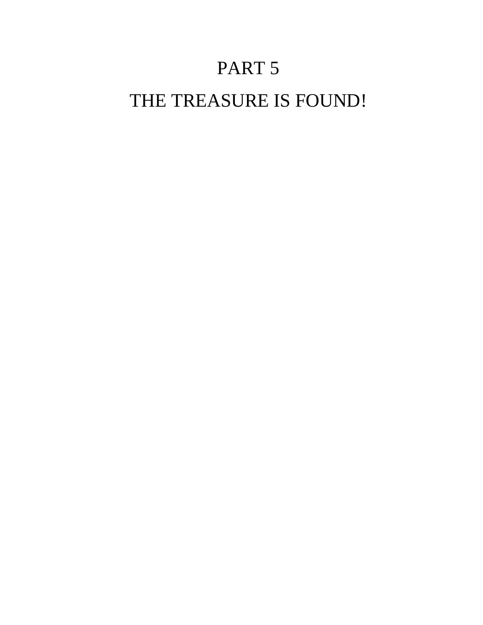# PART 5

## THE TREASURE IS FOUND!